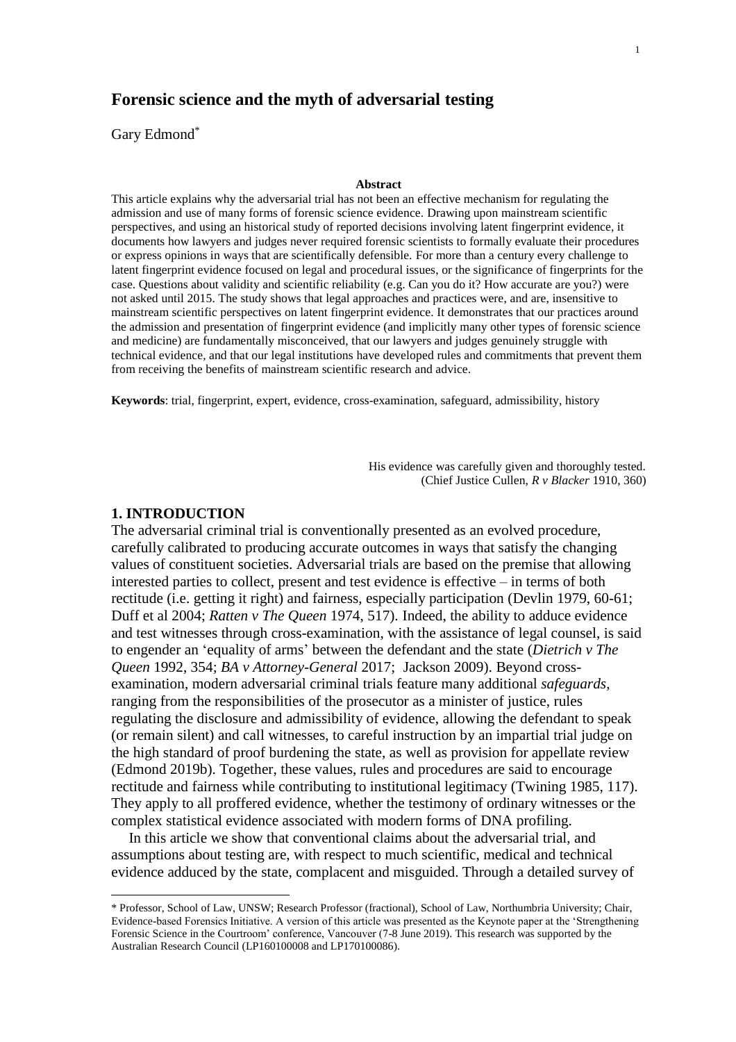# **Forensic science and the myth of adversarial testing**

Gary Edmond\*

#### **Abstract**

This article explains why the adversarial trial has not been an effective mechanism for regulating the admission and use of many forms of forensic science evidence. Drawing upon mainstream scientific perspectives, and using an historical study of reported decisions involving latent fingerprint evidence, it documents how lawyers and judges never required forensic scientists to formally evaluate their procedures or express opinions in ways that are scientifically defensible. For more than a century every challenge to latent fingerprint evidence focused on legal and procedural issues, or the significance of fingerprints for the case. Questions about validity and scientific reliability (e.g. Can you do it? How accurate are you?) were not asked until 2015. The study shows that legal approaches and practices were, and are, insensitive to mainstream scientific perspectives on latent fingerprint evidence. It demonstrates that our practices around the admission and presentation of fingerprint evidence (and implicitly many other types of forensic science and medicine) are fundamentally misconceived, that our lawyers and judges genuinely struggle with technical evidence, and that our legal institutions have developed rules and commitments that prevent them from receiving the benefits of mainstream scientific research and advice.

**Keywords**: trial, fingerprint, expert, evidence, cross-examination, safeguard, admissibility, history

His evidence was carefully given and thoroughly tested. (Chief Justice Cullen, *R v Blacker* 1910, 360)

### **1. INTRODUCTION**

 $\overline{a}$ 

The adversarial criminal trial is conventionally presented as an evolved procedure, carefully calibrated to producing accurate outcomes in ways that satisfy the changing values of constituent societies. Adversarial trials are based on the premise that allowing interested parties to collect, present and test evidence is effective – in terms of both rectitude (i.e. getting it right) and fairness, especially participation (Devlin 1979, 60-61; Duff et al 2004; *Ratten v The Queen* 1974, 517). Indeed, the ability to adduce evidence and test witnesses through cross-examination, with the assistance of legal counsel, is said to engender an 'equality of arms' between the defendant and the state (*Dietrich v The Queen* 1992, 354; *BA v Attorney-General* 2017; Jackson 2009). Beyond crossexamination, modern adversarial criminal trials feature many additional *safeguards*, ranging from the responsibilities of the prosecutor as a minister of justice, rules regulating the disclosure and admissibility of evidence, allowing the defendant to speak (or remain silent) and call witnesses, to careful instruction by an impartial trial judge on the high standard of proof burdening the state, as well as provision for appellate review (Edmond 2019b). Together, these values, rules and procedures are said to encourage rectitude and fairness while contributing to institutional legitimacy (Twining 1985, 117). They apply to all proffered evidence, whether the testimony of ordinary witnesses or the complex statistical evidence associated with modern forms of DNA profiling.

In this article we show that conventional claims about the adversarial trial, and assumptions about testing are, with respect to much scientific, medical and technical evidence adduced by the state, complacent and misguided. Through a detailed survey of

<sup>\*</sup> Professor, School of Law, UNSW; Research Professor (fractional), School of Law, Northumbria University; Chair, Evidence-based Forensics Initiative. A version of this article was presented as the Keynote paper at the 'Strengthening Forensic Science in the Courtroom' conference, Vancouver (7-8 June 2019). This research was supported by the Australian Research Council (LP160100008 and LP170100086).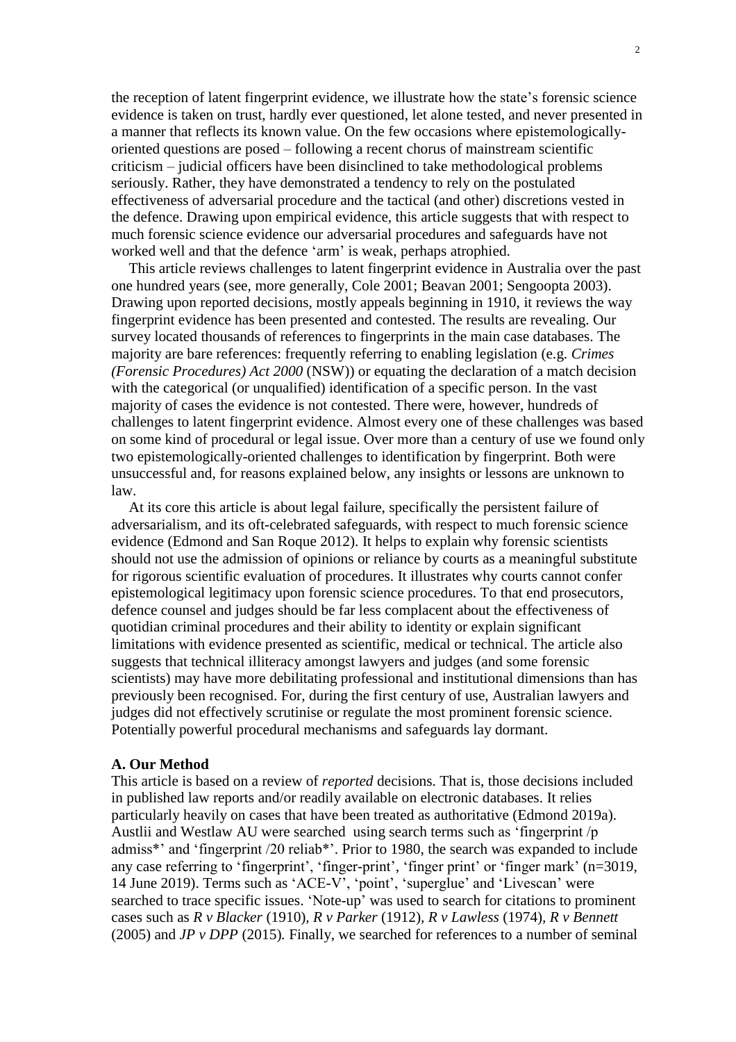the reception of latent fingerprint evidence, we illustrate how the state's forensic science evidence is taken on trust, hardly ever questioned, let alone tested, and never presented in a manner that reflects its known value. On the few occasions where epistemologicallyoriented questions are posed – following a recent chorus of mainstream scientific criticism – judicial officers have been disinclined to take methodological problems seriously. Rather, they have demonstrated a tendency to rely on the postulated effectiveness of adversarial procedure and the tactical (and other) discretions vested in the defence. Drawing upon empirical evidence, this article suggests that with respect to much forensic science evidence our adversarial procedures and safeguards have not worked well and that the defence 'arm' is weak, perhaps atrophied.

This article reviews challenges to latent fingerprint evidence in Australia over the past one hundred years (see, more generally, Cole 2001; Beavan 2001; Sengoopta 2003). Drawing upon reported decisions, mostly appeals beginning in 1910, it reviews the way fingerprint evidence has been presented and contested. The results are revealing. Our survey located thousands of references to fingerprints in the main case databases. The majority are bare references: frequently referring to enabling legislation (e.g. *Crimes (Forensic Procedures) Act 2000* (NSW)) or equating the declaration of a match decision with the categorical (or unqualified) identification of a specific person. In the vast majority of cases the evidence is not contested. There were, however, hundreds of challenges to latent fingerprint evidence. Almost every one of these challenges was based on some kind of procedural or legal issue. Over more than a century of use we found only two epistemologically-oriented challenges to identification by fingerprint. Both were unsuccessful and, for reasons explained below, any insights or lessons are unknown to law.

At its core this article is about legal failure, specifically the persistent failure of adversarialism, and its oft-celebrated safeguards, with respect to much forensic science evidence (Edmond and San Roque 2012). It helps to explain why forensic scientists should not use the admission of opinions or reliance by courts as a meaningful substitute for rigorous scientific evaluation of procedures. It illustrates why courts cannot confer epistemological legitimacy upon forensic science procedures. To that end prosecutors, defence counsel and judges should be far less complacent about the effectiveness of quotidian criminal procedures and their ability to identity or explain significant limitations with evidence presented as scientific, medical or technical. The article also suggests that technical illiteracy amongst lawyers and judges (and some forensic scientists) may have more debilitating professional and institutional dimensions than has previously been recognised. For, during the first century of use, Australian lawyers and judges did not effectively scrutinise or regulate the most prominent forensic science. Potentially powerful procedural mechanisms and safeguards lay dormant.

### **A. Our Method**

This article is based on a review of *reported* decisions. That is, those decisions included in published law reports and/or readily available on electronic databases. It relies particularly heavily on cases that have been treated as authoritative (Edmond 2019a). Austlii and Westlaw AU were searched using search terms such as 'fingerprint /p admiss\*' and 'fingerprint /20 reliab\*'. Prior to 1980, the search was expanded to include any case referring to 'fingerprint', 'finger-print', 'finger print' or 'finger mark' (n=3019, 14 June 2019). Terms such as 'ACE-V', 'point', 'superglue' and 'Livescan' were searched to trace specific issues. 'Note-up' was used to search for citations to prominent cases such as *R v Blacker* (1910)*, R v Parker* (1912)*, R v Lawless* (1974)*, R v Bennett* (2005) and *JP v DPP* (2015)*.* Finally, we searched for references to a number of seminal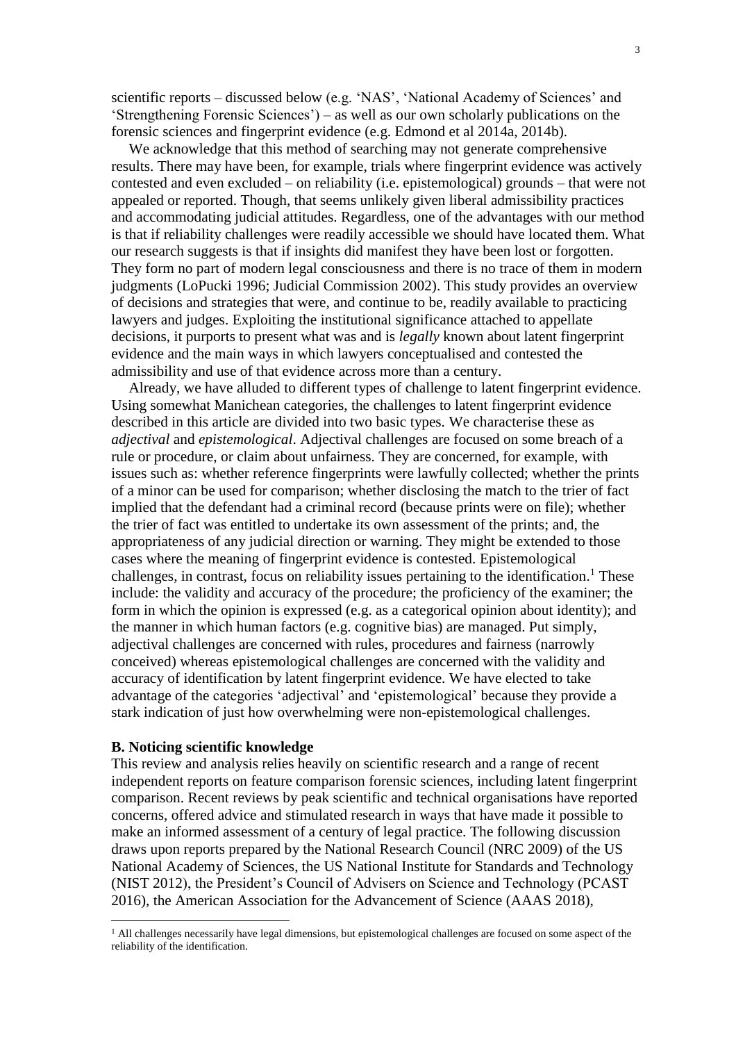scientific reports – discussed below (e.g. 'NAS', 'National Academy of Sciences' and 'Strengthening Forensic Sciences') – as well as our own scholarly publications on the forensic sciences and fingerprint evidence (e.g. Edmond et al 2014a, 2014b).

We acknowledge that this method of searching may not generate comprehensive results. There may have been, for example, trials where fingerprint evidence was actively contested and even excluded – on reliability (i.e. epistemological) grounds – that were not appealed or reported. Though, that seems unlikely given liberal admissibility practices and accommodating judicial attitudes. Regardless, one of the advantages with our method is that if reliability challenges were readily accessible we should have located them. What our research suggests is that if insights did manifest they have been lost or forgotten. They form no part of modern legal consciousness and there is no trace of them in modern judgments (LoPucki 1996; Judicial Commission 2002). This study provides an overview of decisions and strategies that were, and continue to be, readily available to practicing lawyers and judges. Exploiting the institutional significance attached to appellate decisions, it purports to present what was and is *legally* known about latent fingerprint evidence and the main ways in which lawyers conceptualised and contested the admissibility and use of that evidence across more than a century.

Already, we have alluded to different types of challenge to latent fingerprint evidence. Using somewhat Manichean categories, the challenges to latent fingerprint evidence described in this article are divided into two basic types. We characterise these as *adjectival* and *epistemological*. Adjectival challenges are focused on some breach of a rule or procedure, or claim about unfairness. They are concerned, for example, with issues such as: whether reference fingerprints were lawfully collected; whether the prints of a minor can be used for comparison; whether disclosing the match to the trier of fact implied that the defendant had a criminal record (because prints were on file); whether the trier of fact was entitled to undertake its own assessment of the prints; and, the appropriateness of any judicial direction or warning. They might be extended to those cases where the meaning of fingerprint evidence is contested. Epistemological challenges, in contrast, focus on reliability issues pertaining to the identification.<sup>1</sup> These include: the validity and accuracy of the procedure; the proficiency of the examiner; the form in which the opinion is expressed (e.g. as a categorical opinion about identity); and the manner in which human factors (e.g. cognitive bias) are managed. Put simply, adjectival challenges are concerned with rules, procedures and fairness (narrowly conceived) whereas epistemological challenges are concerned with the validity and accuracy of identification by latent fingerprint evidence. We have elected to take advantage of the categories 'adjectival' and 'epistemological' because they provide a stark indication of just how overwhelming were non-epistemological challenges.

# **B. Noticing scientific knowledge**

 $\overline{a}$ 

This review and analysis relies heavily on scientific research and a range of recent independent reports on feature comparison forensic sciences, including latent fingerprint comparison. Recent reviews by peak scientific and technical organisations have reported concerns, offered advice and stimulated research in ways that have made it possible to make an informed assessment of a century of legal practice. The following discussion draws upon reports prepared by the National Research Council (NRC 2009) of the US National Academy of Sciences, the US National Institute for Standards and Technology (NIST 2012), the President's Council of Advisers on Science and Technology (PCAST 2016), the American Association for the Advancement of Science (AAAS 2018),

<sup>&</sup>lt;sup>1</sup> All challenges necessarily have legal dimensions, but epistemological challenges are focused on some aspect of the reliability of the identification.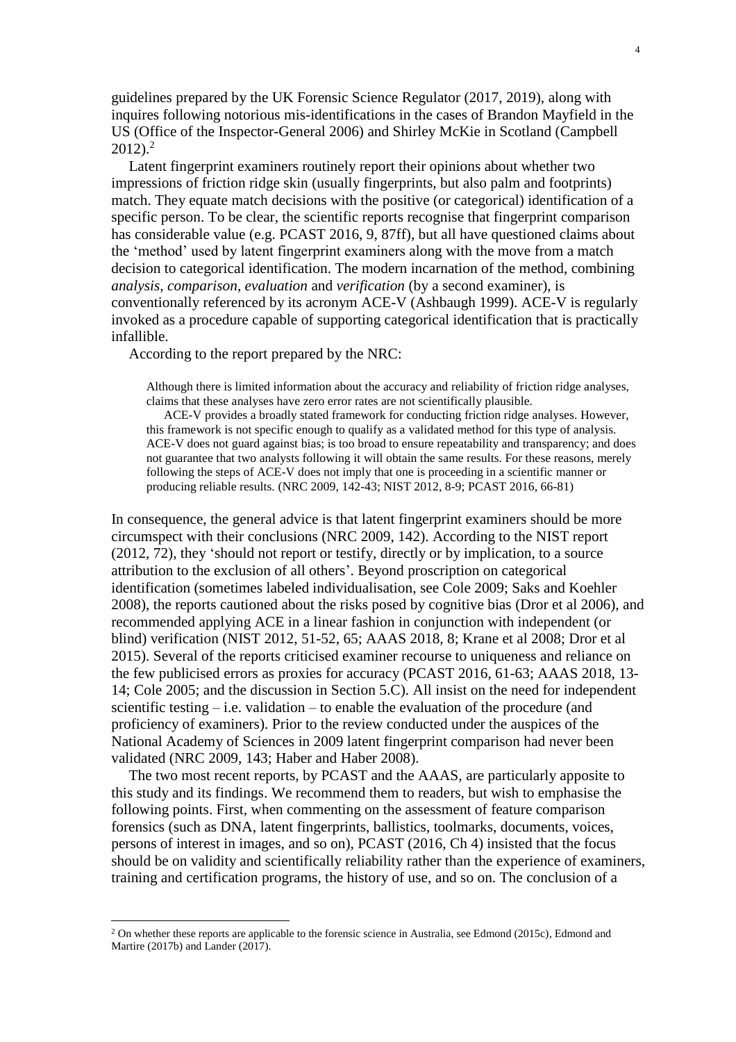guidelines prepared by the UK Forensic Science Regulator (2017, 2019), along with inquires following notorious mis-identifications in the cases of Brandon Mayfield in the US (Office of the Inspector-General 2006) and Shirley McKie in Scotland (Campbell  $2012$ <sup>2</sup>

Latent fingerprint examiners routinely report their opinions about whether two impressions of friction ridge skin (usually fingerprints, but also palm and footprints) match. They equate match decisions with the positive (or categorical) identification of a specific person. To be clear, the scientific reports recognise that fingerprint comparison has considerable value (e.g. PCAST 2016, 9, 87ff), but all have questioned claims about the 'method' used by latent fingerprint examiners along with the move from a match decision to categorical identification. The modern incarnation of the method, combining *analysis, comparison, evaluation* and *verification* (by a second examiner), is conventionally referenced by its acronym ACE-V (Ashbaugh 1999). ACE-V is regularly invoked as a procedure capable of supporting categorical identification that is practically infallible.

According to the report prepared by the NRC:

Although there is limited information about the accuracy and reliability of friction ridge analyses, claims that these analyses have zero error rates are not scientifically plausible.

ACE-V provides a broadly stated framework for conducting friction ridge analyses. However, this framework is not specific enough to qualify as a validated method for this type of analysis. ACE-V does not guard against bias; is too broad to ensure repeatability and transparency; and does not guarantee that two analysts following it will obtain the same results. For these reasons, merely following the steps of ACE-V does not imply that one is proceeding in a scientific manner or producing reliable results. (NRC 2009, 142-43; NIST 2012, 8-9; PCAST 2016, 66-81)

In consequence, the general advice is that latent fingerprint examiners should be more circumspect with their conclusions (NRC 2009, 142). According to the NIST report (2012, 72), they 'should not report or testify, directly or by implication, to a source attribution to the exclusion of all others'. Beyond proscription on categorical identification (sometimes labeled individualisation, see Cole 2009; Saks and Koehler 2008), the reports cautioned about the risks posed by cognitive bias (Dror et al 2006), and recommended applying ACE in a linear fashion in conjunction with independent (or blind) verification (NIST 2012, 51-52, 65; AAAS 2018, 8; Krane et al 2008; Dror et al 2015). Several of the reports criticised examiner recourse to uniqueness and reliance on the few publicised errors as proxies for accuracy (PCAST 2016, 61-63; AAAS 2018, 13- 14; Cole 2005; and the discussion in Section 5.C). All insist on the need for independent scientific testing – i.e. validation – to enable the evaluation of the procedure (and proficiency of examiners). Prior to the review conducted under the auspices of the National Academy of Sciences in 2009 latent fingerprint comparison had never been validated (NRC 2009, 143; Haber and Haber 2008).

The two most recent reports, by PCAST and the AAAS, are particularly apposite to this study and its findings. We recommend them to readers, but wish to emphasise the following points. First, when commenting on the assessment of feature comparison forensics (such as DNA, latent fingerprints, ballistics, toolmarks, documents, voices, persons of interest in images, and so on), PCAST (2016, Ch 4) insisted that the focus should be on validity and scientifically reliability rather than the experience of examiners, training and certification programs, the history of use, and so on. The conclusion of a

 $\overline{a}$ 

 $2$  On whether these reports are applicable to the forensic science in Australia, see Edmond (2015c), Edmond and Martire (2017b) and Lander (2017).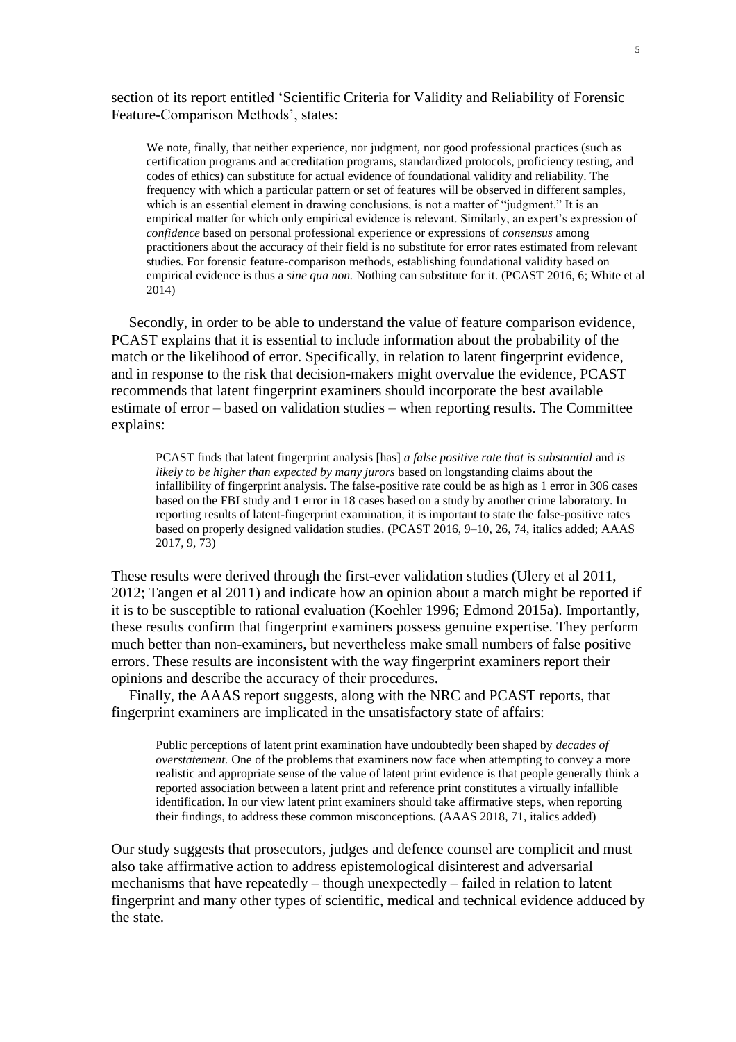section of its report entitled 'Scientific Criteria for Validity and Reliability of Forensic Feature-Comparison Methods', states:

We note, finally, that neither experience, nor judgment, nor good professional practices (such as certification programs and accreditation programs, standardized protocols, proficiency testing, and codes of ethics) can substitute for actual evidence of foundational validity and reliability. The frequency with which a particular pattern or set of features will be observed in different samples, which is an essential element in drawing conclusions, is not a matter of "judgment." It is an empirical matter for which only empirical evidence is relevant. Similarly, an expert's expression of *confidence* based on personal professional experience or expressions of *consensus* among practitioners about the accuracy of their field is no substitute for error rates estimated from relevant studies. For forensic feature-comparison methods, establishing foundational validity based on empirical evidence is thus a *sine qua non.* Nothing can substitute for it. (PCAST 2016, 6; White et al 2014)

Secondly, in order to be able to understand the value of feature comparison evidence, PCAST explains that it is essential to include information about the probability of the match or the likelihood of error. Specifically, in relation to latent fingerprint evidence, and in response to the risk that decision-makers might overvalue the evidence, PCAST recommends that latent fingerprint examiners should incorporate the best available estimate of error – based on validation studies – when reporting results. The Committee explains:

PCAST finds that latent fingerprint analysis [has] *a false positive rate that is substantial* and *is likely to be higher than expected by many jurors* based on longstanding claims about the infallibility of fingerprint analysis. The false-positive rate could be as high as 1 error in 306 cases based on the FBI study and 1 error in 18 cases based on a study by another crime laboratory. In reporting results of latent-fingerprint examination, it is important to state the false-positive rates based on properly designed validation studies. (PCAST 2016, 9–10, 26, 74, italics added; AAAS 2017, 9, 73)

These results were derived through the first-ever validation studies (Ulery et al 2011, 2012; Tangen et al 2011) and indicate how an opinion about a match might be reported if it is to be susceptible to rational evaluation (Koehler 1996; Edmond 2015a). Importantly, these results confirm that fingerprint examiners possess genuine expertise. They perform much better than non-examiners, but nevertheless make small numbers of false positive errors. These results are inconsistent with the way fingerprint examiners report their opinions and describe the accuracy of their procedures.

Finally, the AAAS report suggests, along with the NRC and PCAST reports, that fingerprint examiners are implicated in the unsatisfactory state of affairs:

Public perceptions of latent print examination have undoubtedly been shaped by *decades of overstatement.* One of the problems that examiners now face when attempting to convey a more realistic and appropriate sense of the value of latent print evidence is that people generally think a reported association between a latent print and reference print constitutes a virtually infallible identification. In our view latent print examiners should take affirmative steps, when reporting their findings, to address these common misconceptions. (AAAS 2018, 71, italics added)

Our study suggests that prosecutors, judges and defence counsel are complicit and must also take affirmative action to address epistemological disinterest and adversarial mechanisms that have repeatedly – though unexpectedly – failed in relation to latent fingerprint and many other types of scientific, medical and technical evidence adduced by the state.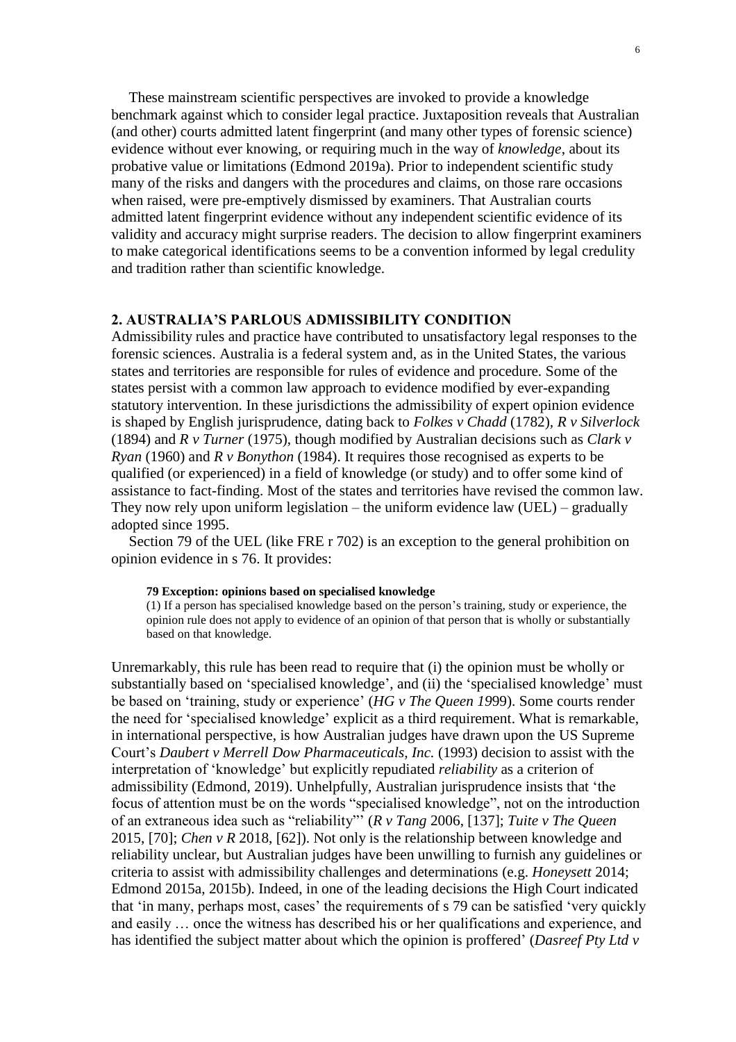These mainstream scientific perspectives are invoked to provide a knowledge benchmark against which to consider legal practice. Juxtaposition reveals that Australian (and other) courts admitted latent fingerprint (and many other types of forensic science) evidence without ever knowing, or requiring much in the way of *knowledge*, about its probative value or limitations (Edmond 2019a). Prior to independent scientific study many of the risks and dangers with the procedures and claims, on those rare occasions when raised, were pre-emptively dismissed by examiners. That Australian courts admitted latent fingerprint evidence without any independent scientific evidence of its validity and accuracy might surprise readers. The decision to allow fingerprint examiners to make categorical identifications seems to be a convention informed by legal credulity and tradition rather than scientific knowledge.

# **2. AUSTRALIA'S PARLOUS ADMISSIBILITY CONDITION**

Admissibility rules and practice have contributed to unsatisfactory legal responses to the forensic sciences. Australia is a federal system and, as in the United States, the various states and territories are responsible for rules of evidence and procedure. Some of the states persist with a common law approach to evidence modified by ever-expanding statutory intervention. In these jurisdictions the admissibility of expert opinion evidence is shaped by English jurisprudence, dating back to *Folkes v Chadd* (1782)*, R v Silverlock* (1894) and *R v Turner* (1975), though modified by Australian decisions such as *Clark v Ryan* (1960) and *R v Bonython* (1984). It requires those recognised as experts to be qualified (or experienced) in a field of knowledge (or study) and to offer some kind of assistance to fact-finding. Most of the states and territories have revised the common law. They now rely upon uniform legislation – the uniform evidence law  $(UEL)$  – gradually adopted since 1995.

Section 79 of the UEL (like FRE r 702) is an exception to the general prohibition on opinion evidence in s 76. It provides:

#### **79 Exception: opinions based on specialised knowledge**

(1) If a person has specialised knowledge based on the person's training, study or experience, the opinion rule does not apply to evidence of an opinion of that person that is wholly or substantially based on that knowledge.

Unremarkably, this rule has been read to require that (i) the opinion must be wholly or substantially based on 'specialised knowledge', and (ii) the 'specialised knowledge' must be based on 'training, study or experience' (*HG v The Queen 19*99). Some courts render the need for 'specialised knowledge' explicit as a third requirement. What is remarkable, in international perspective, is how Australian judges have drawn upon the US Supreme Court's *Daubert v Merrell Dow Pharmaceuticals, Inc.* (1993) decision to assist with the interpretation of 'knowledge' but explicitly repudiated *reliability* as a criterion of admissibility (Edmond, 2019). Unhelpfully, Australian jurisprudence insists that 'the focus of attention must be on the words "specialised knowledge", not on the introduction of an extraneous idea such as "reliability"' (*R v Tang* 2006, [137]; *Tuite v The Queen* 2015, [70]; *Chen v R* 2018, [62]). Not only is the relationship between knowledge and reliability unclear, but Australian judges have been unwilling to furnish any guidelines or criteria to assist with admissibility challenges and determinations (e.g. *Honeysett* 2014; Edmond 2015a, 2015b). Indeed, in one of the leading decisions the High Court indicated that 'in many, perhaps most, cases' the requirements of s 79 can be satisfied 'very quickly and easily … once the witness has described his or her qualifications and experience, and has identified the subject matter about which the opinion is proffered' (*Dasreef Pty Ltd v*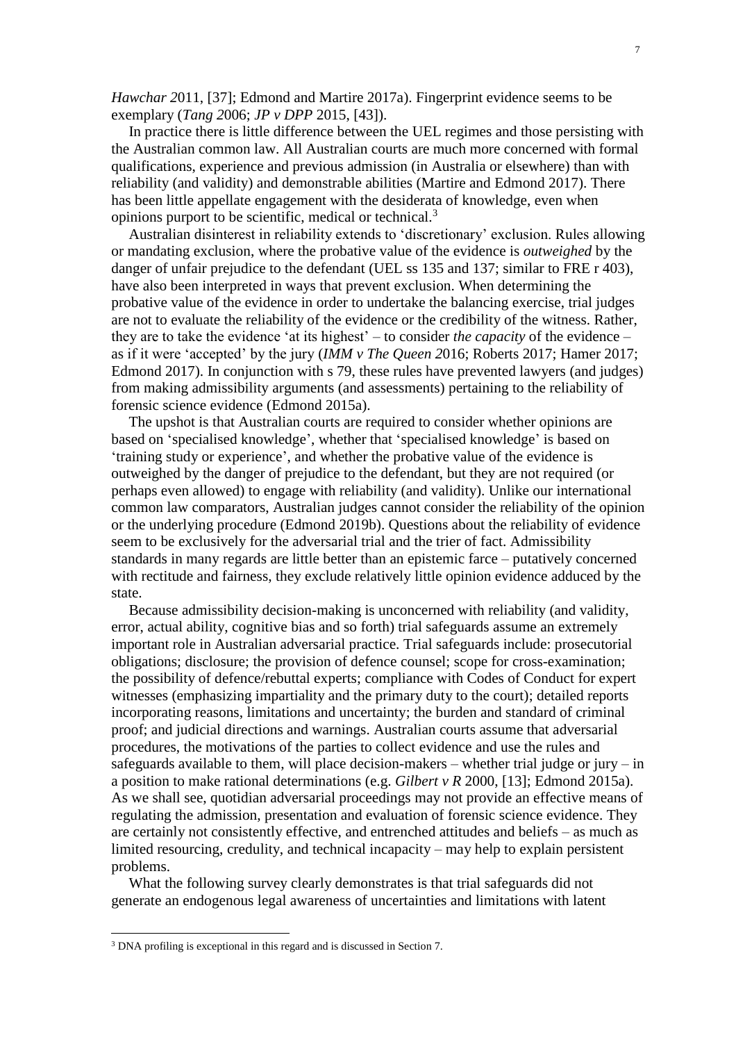*Hawchar 2*011, [37]; Edmond and Martire 2017a). Fingerprint evidence seems to be exemplary (*Tang 2*006; *JP v DPP* 2015, [43]).

In practice there is little difference between the UEL regimes and those persisting with the Australian common law. All Australian courts are much more concerned with formal qualifications, experience and previous admission (in Australia or elsewhere) than with reliability (and validity) and demonstrable abilities (Martire and Edmond 2017). There has been little appellate engagement with the desiderata of knowledge, even when opinions purport to be scientific, medical or technical.<sup>3</sup>

Australian disinterest in reliability extends to 'discretionary' exclusion. Rules allowing or mandating exclusion, where the probative value of the evidence is *outweighed* by the danger of unfair prejudice to the defendant (UEL ss 135 and 137; similar to FRE r 403), have also been interpreted in ways that prevent exclusion. When determining the probative value of the evidence in order to undertake the balancing exercise, trial judges are not to evaluate the reliability of the evidence or the credibility of the witness. Rather, they are to take the evidence 'at its highest' – to consider *the capacity* of the evidence – as if it were 'accepted' by the jury (*IMM v The Queen 2*016; Roberts 2017; Hamer 2017; Edmond 2017). In conjunction with s 79, these rules have prevented lawyers (and judges) from making admissibility arguments (and assessments) pertaining to the reliability of forensic science evidence (Edmond 2015a).

The upshot is that Australian courts are required to consider whether opinions are based on 'specialised knowledge', whether that 'specialised knowledge' is based on 'training study or experience', and whether the probative value of the evidence is outweighed by the danger of prejudice to the defendant, but they are not required (or perhaps even allowed) to engage with reliability (and validity). Unlike our international common law comparators, Australian judges cannot consider the reliability of the opinion or the underlying procedure (Edmond 2019b). Questions about the reliability of evidence seem to be exclusively for the adversarial trial and the trier of fact. Admissibility standards in many regards are little better than an epistemic farce – putatively concerned with rectitude and fairness, they exclude relatively little opinion evidence adduced by the state.

Because admissibility decision-making is unconcerned with reliability (and validity, error, actual ability, cognitive bias and so forth) trial safeguards assume an extremely important role in Australian adversarial practice. Trial safeguards include: prosecutorial obligations; disclosure; the provision of defence counsel; scope for cross-examination; the possibility of defence/rebuttal experts; compliance with Codes of Conduct for expert witnesses (emphasizing impartiality and the primary duty to the court); detailed reports incorporating reasons, limitations and uncertainty; the burden and standard of criminal proof; and judicial directions and warnings. Australian courts assume that adversarial procedures, the motivations of the parties to collect evidence and use the rules and safeguards available to them, will place decision-makers – whether trial judge or jury – in a position to make rational determinations (e.g. *Gilbert v R* 2000, [13]; Edmond 2015a). As we shall see, quotidian adversarial proceedings may not provide an effective means of regulating the admission, presentation and evaluation of forensic science evidence. They are certainly not consistently effective, and entrenched attitudes and beliefs – as much as limited resourcing, credulity, and technical incapacity – may help to explain persistent problems.

What the following survey clearly demonstrates is that trial safeguards did not generate an endogenous legal awareness of uncertainties and limitations with latent

 $\overline{a}$ 

<sup>3</sup> DNA profiling is exceptional in this regard and is discussed in Section 7.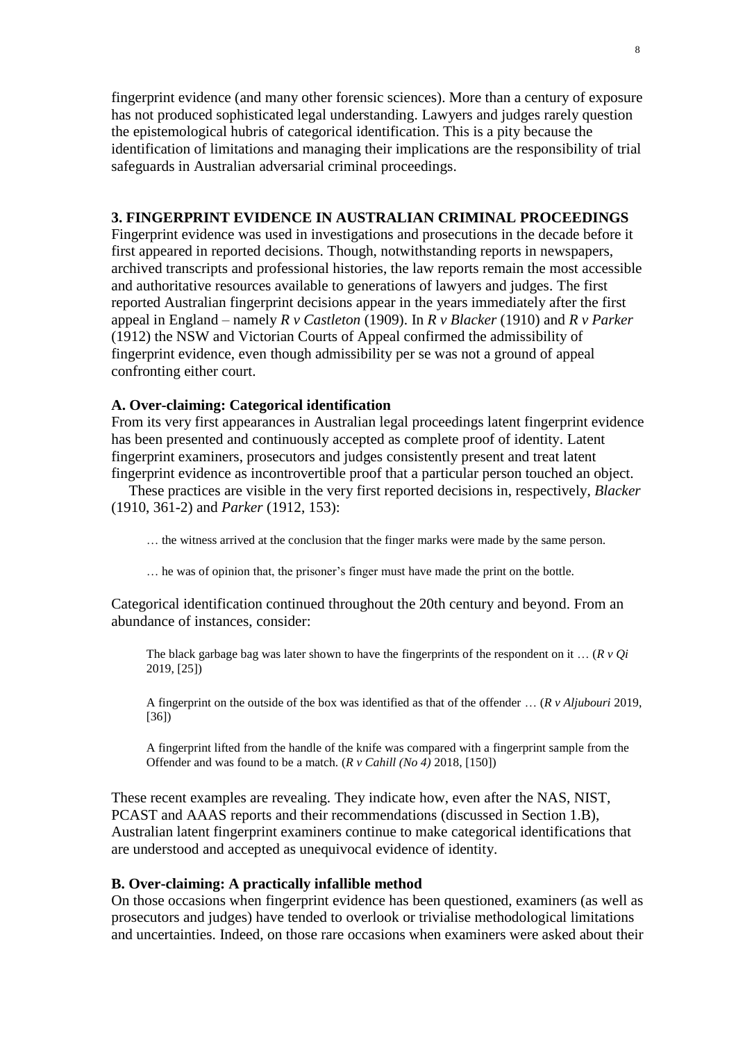fingerprint evidence (and many other forensic sciences). More than a century of exposure has not produced sophisticated legal understanding. Lawyers and judges rarely question the epistemological hubris of categorical identification. This is a pity because the identification of limitations and managing their implications are the responsibility of trial safeguards in Australian adversarial criminal proceedings.

# **3. FINGERPRINT EVIDENCE IN AUSTRALIAN CRIMINAL PROCEEDINGS**

Fingerprint evidence was used in investigations and prosecutions in the decade before it first appeared in reported decisions. Though, notwithstanding reports in newspapers, archived transcripts and professional histories, the law reports remain the most accessible and authoritative resources available to generations of lawyers and judges. The first reported Australian fingerprint decisions appear in the years immediately after the first appeal in England – namely *R v Castleton* (1909). In *R v Blacker* (1910) and *R v Parker* (1912) the NSW and Victorian Courts of Appeal confirmed the admissibility of fingerprint evidence, even though admissibility per se was not a ground of appeal confronting either court.

# **A. Over-claiming: Categorical identification**

From its very first appearances in Australian legal proceedings latent fingerprint evidence has been presented and continuously accepted as complete proof of identity. Latent fingerprint examiners, prosecutors and judges consistently present and treat latent fingerprint evidence as incontrovertible proof that a particular person touched an object.

These practices are visible in the very first reported decisions in, respectively, *Blacker* (1910, 361-2) and *Parker* (1912, 153):

… the witness arrived at the conclusion that the finger marks were made by the same person.

… he was of opinion that, the prisoner's finger must have made the print on the bottle.

Categorical identification continued throughout the 20th century and beyond. From an abundance of instances, consider:

The black garbage bag was later shown to have the [fingerprints](https://www-westlaw-com-au.wwwproxy1.library.unsw.edu.au/maf/wlau/app/document?&src=search&docguid=I0acbaf525a5d11e98b44b29f3622255f&snippets=true&fcwh=true&startChunk=1&endChunk=1&nstid=std-anz-highlight&nsds=AUNZ_CASES&isTocNav=true&tocDs=AUNZ_CASES_TOC&context=57&extLink=false&epos=11&searchFromLinkHome=true#nhit-2046) of the respondent on it … (*R v Qi* 2019, [25])

A fingerprint on the outside of the box was identified as that of the offender … (*R v Aljubouri* 2019, [36])

A [fingerprint](https://www-westlaw-com-au.wwwproxy1.library.unsw.edu.au/maf/wlau/app/document?&src=search&docguid=Iedeb59c101c511e989f6e235e4e6e731&snippets=true&fcwh=true&startChunk=2&endChunk=2&nstid=std-anz-highlight&nsds=AUNZ_CASES&isTocNav=true&tocDs=AUNZ_CASES_TOC&context=132&extLink=false&epos=56&searchFromLinkHome=true#nhit-9060) lifted from the handle of the knife was compared with a [fingerprint](https://www-westlaw-com-au.wwwproxy1.library.unsw.edu.au/maf/wlau/app/document?&src=search&docguid=Iedeb59c101c511e989f6e235e4e6e731&snippets=true&fcwh=true&startChunk=2&endChunk=2&nstid=std-anz-highlight&nsds=AUNZ_CASES&isTocNav=true&tocDs=AUNZ_CASES_TOC&context=132&extLink=false&epos=56&searchFromLinkHome=true#nhit-9072) sample from the Offender and was found to be a match. (*R v Cahill (No 4)* 2018, [150])

These recent examples are revealing. They indicate how, even after the NAS, NIST, PCAST and AAAS reports and their recommendations (discussed in Section 1.B), Australian latent fingerprint examiners continue to make categorical identifications that are understood and accepted as unequivocal evidence of identity.

# **B. Over-claiming: A practically infallible method**

On those occasions when fingerprint evidence has been questioned, examiners (as well as prosecutors and judges) have tended to overlook or trivialise methodological limitations and uncertainties. Indeed, on those rare occasions when examiners were asked about their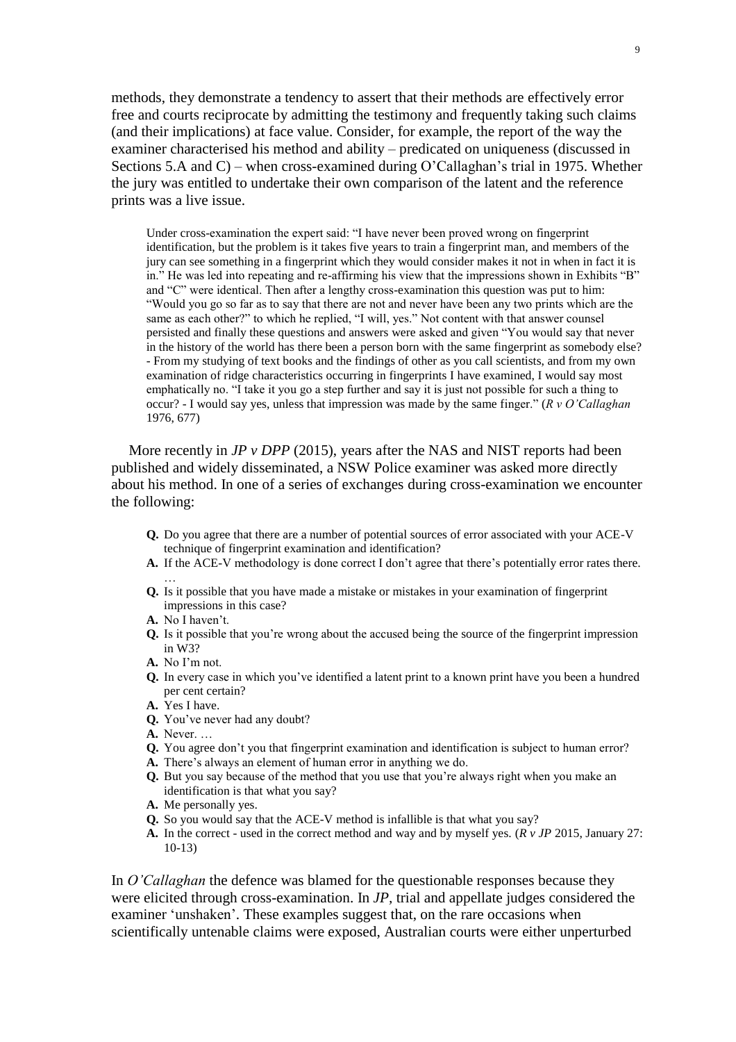methods, they demonstrate a tendency to assert that their methods are effectively error free and courts reciprocate by admitting the testimony and frequently taking such claims (and their implications) at face value. Consider, for example, the report of the way the examiner characterised his method and ability – predicated on uniqueness (discussed in Sections 5.A and C) – when cross-examined during O'Callaghan's trial in 1975. Whether the jury was entitled to undertake their own comparison of the latent and the reference prints was a live issue.

Under cross-examination the expert said: "I have never been proved wrong on fingerprint identification, but the problem is it takes five years to train a fingerprint man, and members of the jury can see something in a fingerprint which they would consider makes it not in when in fact it is in." He was led into repeating and re-affirming his view that the impressions shown in Exhibits "B" and "C" were identical. Then after a lengthy cross-examination this question was put to him: "Would you go so far as to say that there are not and never have been any two prints which are the same as each other?" to which he replied, "I will, yes." Not content with that answer counsel persisted and finally these questions and answers were asked and given "You would say that never in the history of the world has there been a person born with the same fingerprint as somebody else? - From my studying of text books and the findings of other as you call scientists, and from my own examination of ridge characteristics occurring in fingerprints I have examined, I would say most emphatically no. "I take it you go a step further and say it is just not possible for such a thing to occur? - I would say yes, unless that impression was made by the same finger." (*R v O'Callaghan* 1976, 677)

More recently in *JP v DPP* (2015), years after the NAS and NIST reports had been published and widely disseminated, a NSW Police examiner was asked more directly about his method. In one of a series of exchanges during cross-examination we encounter the following:

- **Q.** Do you agree that there are a number of potential sources of error associated with your ACE-V technique of fingerprint examination and identification?
- **A.** If the ACE-V methodology is done correct I don't agree that there's potentially error rates there. …
- **Q.** Is it possible that you have made a mistake or mistakes in your examination of fingerprint impressions in this case?
- **A.** No I haven't.
- **Q.** Is it possible that you're wrong about the accused being the source of the fingerprint impression in W3?
- **A.** No I'm not.
- **Q.** In every case in which you've identified a latent print to a known print have you been a hundred per cent certain?
- **A.** Yes I have.
- **Q.** You've never had any doubt?
- **A.** Never. …
- **Q.** You agree don't you that fingerprint examination and identification is subject to human error?
- **A.** There's always an element of human error in anything we do.
- **Q.** But you say because of the method that you use that you're always right when you make an identification is that what you say?
- **A.** Me personally yes.
- **Q.** So you would say that the ACE-V method is infallible is that what you say?
- **A.** In the correct used in the correct method and way and by myself yes. (*R v JP* 2015, January 27: 10-13)

In *O'Callaghan* the defence was blamed for the questionable responses because they were elicited through cross-examination. In *JP,* trial and appellate judges considered the examiner 'unshaken'. These examples suggest that, on the rare occasions when scientifically untenable claims were exposed, Australian courts were either unperturbed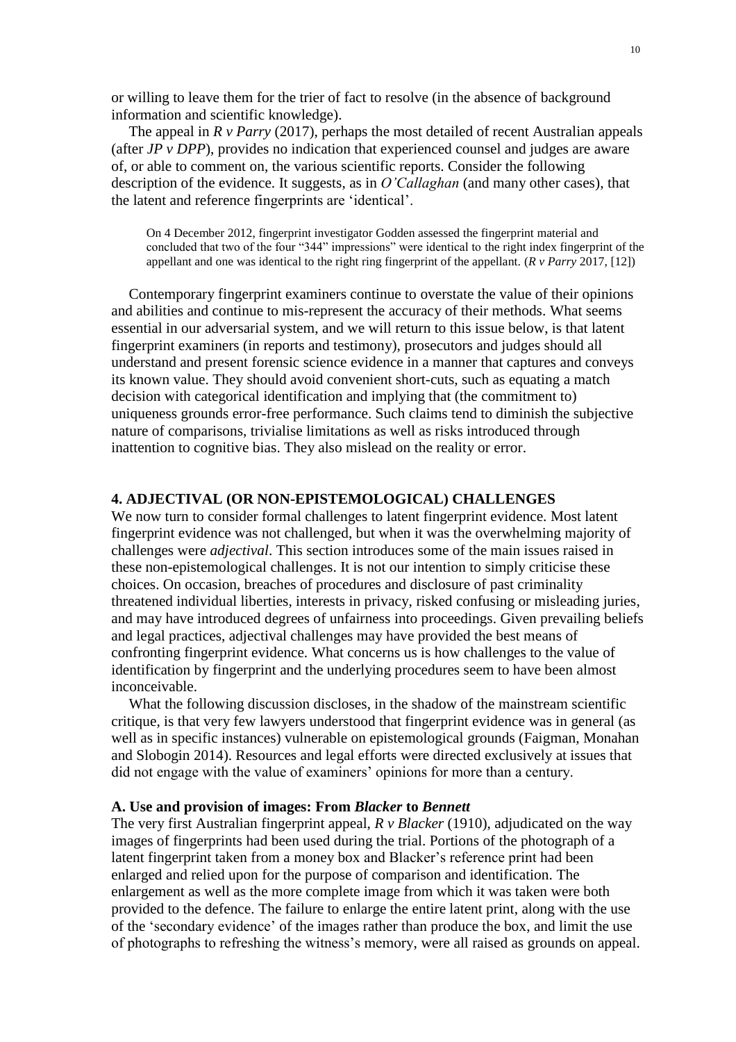or willing to leave them for the trier of fact to resolve (in the absence of background information and scientific knowledge).

The appeal in  $R \nu$  *Parry* (2017), perhaps the most detailed of recent Australian appeals (after *JP v DPP*), provides no indication that experienced counsel and judges are aware of, or able to comment on, the various scientific reports. Consider the following description of the evidence. It suggests, as in *O'Callaghan* (and many other cases), that the latent and reference fingerprints are 'identical'.

On 4 December 2012, fingerprint investigator Godden assessed the fingerprint material and concluded that two of the four "344" impressions" were identical to the right index fingerprint of the appellant and one was identical to the right ring fingerprint of the appellant. (*R v Parry* 2017, [12])

Contemporary fingerprint examiners continue to overstate the value of their opinions and abilities and continue to mis-represent the accuracy of their methods. What seems essential in our adversarial system, and we will return to this issue below, is that latent fingerprint examiners (in reports and testimony), prosecutors and judges should all understand and present forensic science evidence in a manner that captures and conveys its known value. They should avoid convenient short-cuts, such as equating a match decision with categorical identification and implying that (the commitment to) uniqueness grounds error-free performance. Such claims tend to diminish the subjective nature of comparisons, trivialise limitations as well as risks introduced through inattention to cognitive bias. They also mislead on the reality or error.

# **4. ADJECTIVAL (OR NON-EPISTEMOLOGICAL) CHALLENGES**

We now turn to consider formal challenges to latent fingerprint evidence. Most latent fingerprint evidence was not challenged, but when it was the overwhelming majority of challenges were *adjectival*. This section introduces some of the main issues raised in these non-epistemological challenges. It is not our intention to simply criticise these choices. On occasion, breaches of procedures and disclosure of past criminality threatened individual liberties, interests in privacy, risked confusing or misleading juries, and may have introduced degrees of unfairness into proceedings. Given prevailing beliefs and legal practices, adjectival challenges may have provided the best means of confronting fingerprint evidence. What concerns us is how challenges to the value of identification by fingerprint and the underlying procedures seem to have been almost inconceivable.

What the following discussion discloses, in the shadow of the mainstream scientific critique, is that very few lawyers understood that fingerprint evidence was in general (as well as in specific instances) vulnerable on epistemological grounds (Faigman, Monahan and Slobogin 2014). Resources and legal efforts were directed exclusively at issues that did not engage with the value of examiners' opinions for more than a century.

### **A. Use and provision of images: From** *Blacker* **to** *Bennett*

The very first Australian fingerprint appeal, *R v Blacker* (1910), adjudicated on the way images of fingerprints had been used during the trial. Portions of the photograph of a latent fingerprint taken from a money box and Blacker's reference print had been enlarged and relied upon for the purpose of comparison and identification. The enlargement as well as the more complete image from which it was taken were both provided to the defence. The failure to enlarge the entire latent print, along with the use of the 'secondary evidence' of the images rather than produce the box, and limit the use of photographs to refreshing the witness's memory, were all raised as grounds on appeal.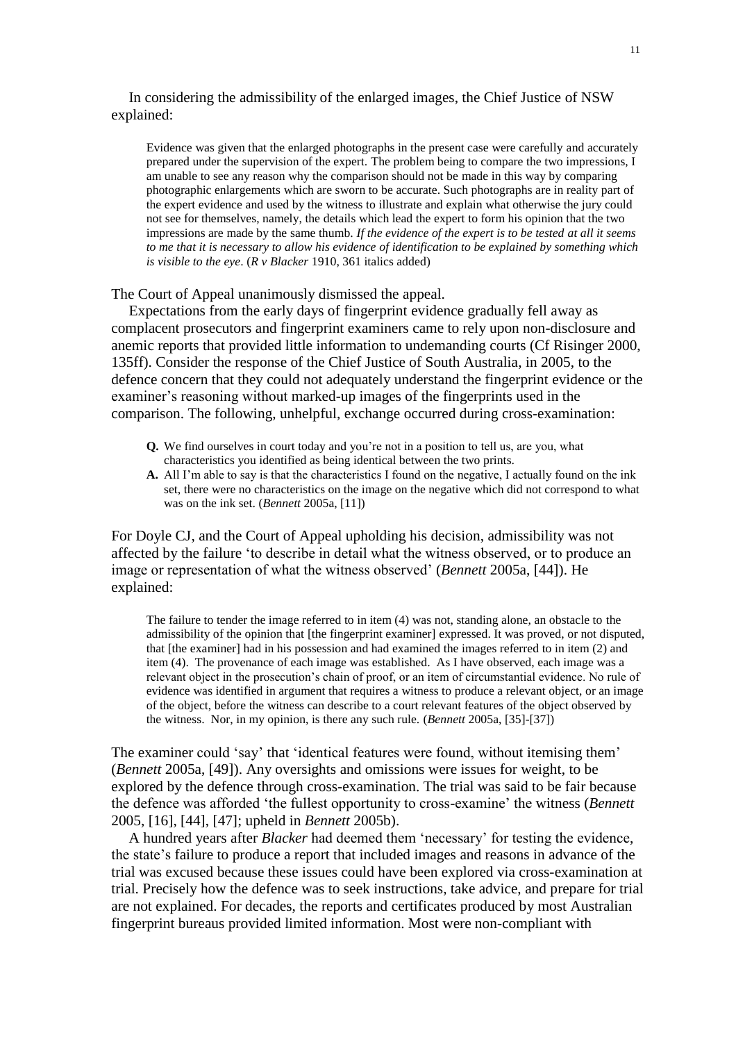In considering the admissibility of the enlarged images, the Chief Justice of NSW explained:

Evidence was given that the enlarged photographs in the present case were carefully and accurately prepared under the supervision of the expert. The problem being to compare the two impressions, I am unable to see any reason why the comparison should not be made in this way by comparing photographic enlargements which are sworn to be accurate. Such photographs are in reality part of the expert evidence and used by the witness to illustrate and explain what otherwise the jury could not see for themselves, namely, the details which lead the expert to form his opinion that the two impressions are made by the same thumb. *If the evidence of the expert is to be tested at all it seems to me that it is necessary to allow his evidence of identification to be explained by something which is visible to the eye*. (*R v Blacker* 1910, 361 italics added)

The Court of Appeal unanimously dismissed the appeal.

Expectations from the early days of fingerprint evidence gradually fell away as complacent prosecutors and fingerprint examiners came to rely upon non-disclosure and anemic reports that provided little information to undemanding courts (Cf Risinger 2000, 135ff). Consider the response of the Chief Justice of South Australia, in 2005, to the defence concern that they could not adequately understand the fingerprint evidence or the examiner's reasoning without marked-up images of the fingerprints used in the comparison. The following, unhelpful, exchange occurred during cross-examination:

- **Q.** We find ourselves in court today and you're not in a position to tell us, are you, what characteristics you identified as being identical between the two prints.
- **A.** All I'm able to say is that the characteristics I found on the negative, I actually found on the ink set, there were no characteristics on the image on the negative which did not correspond to what was on the ink set. (*Bennett* 2005a, [11])

For Doyle CJ, and the Court of Appeal upholding his decision, admissibility was not affected by the failure 'to describe in detail what the witness observed, or to produce an image or representation of what the witness observed' (*Bennett* 2005a, [44]). He explained:

The failure to tender the image referred to in item (4) was not, standing alone, an obstacle to the admissibility of the opinion that [the fingerprint examiner] expressed. It was proved, or not disputed, that [the examiner] had in his possession and had examined the images referred to in item (2) and item (4). The provenance of each image was established. As I have observed, each image was a relevant object in the prosecution's chain of proof, or an item of circumstantial evidence. No rule of evidence was identified in argument that requires a witness to produce a relevant object, or an image of the object, before the witness can describe to a court relevant features of the object observed by the witness. Nor, in my opinion, is there any such rule. (*Bennett* 2005a, [35]-[37])

The examiner could 'say' that 'identical features were found, without itemising them' (*Bennett* 2005a, [49]). Any oversights and omissions were issues for weight, to be explored by the defence through cross-examination. The trial was said to be fair because the defence was afforded 'the fullest opportunity to cross-examine' the witness (*Bennett* 2005, [16], [44], [47]; upheld in *Bennett* 2005b).

A hundred years after *Blacker* had deemed them 'necessary' for testing the evidence, the state's failure to produce a report that included images and reasons in advance of the trial was excused because these issues could have been explored via cross-examination at trial. Precisely how the defence was to seek instructions, take advice, and prepare for trial are not explained. For decades, the reports and certificates produced by most Australian fingerprint bureaus provided limited information. Most were non-compliant with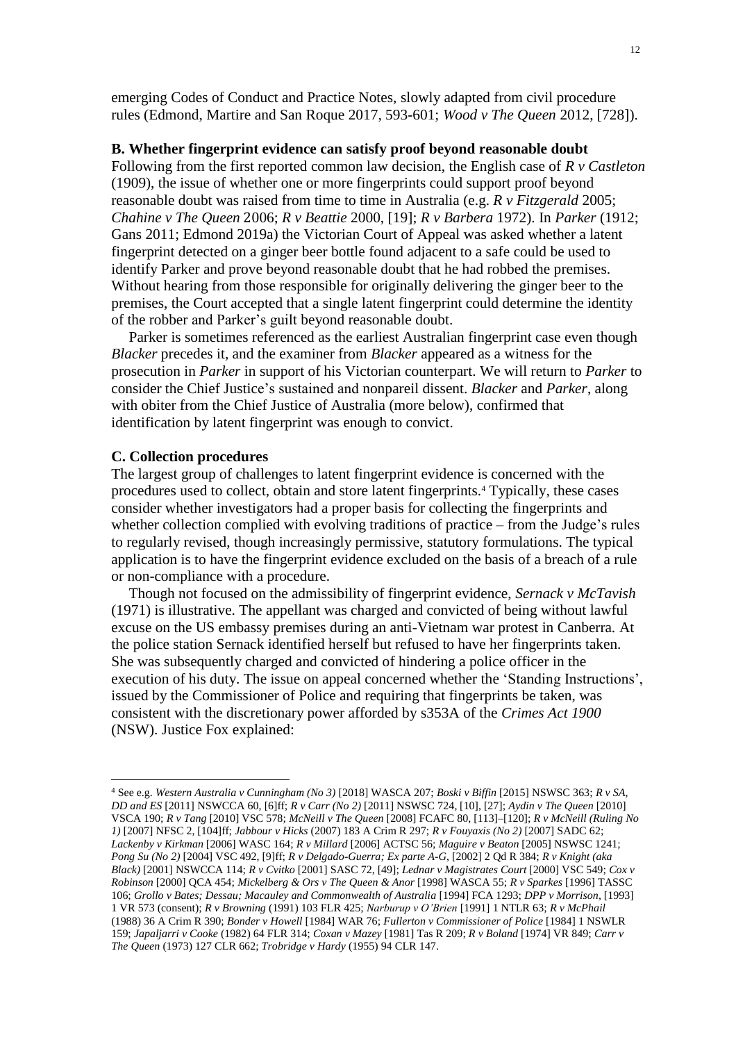emerging Codes of Conduct and Practice Notes, slowly adapted from civil procedure rules (Edmond, Martire and San Roque 2017, 593-601; *Wood v The Queen* 2012, [728]).

# **B. Whether fingerprint evidence can satisfy proof beyond reasonable doubt**

Following from the first reported common law decision, the English case of *R v Castleton* (1909), the issue of whether one or more fingerprints could support proof beyond reasonable doubt was raised from time to time in Australia (e.g. *R v Fitzgerald* 2005; *Chahine v The Queen* 2006; *R v Beattie* 2000, [19]; *R v Barbera* 1972). In *Parker* (1912; Gans 2011; Edmond 2019a) the Victorian Court of Appeal was asked whether a latent fingerprint detected on a ginger beer bottle found adjacent to a safe could be used to identify Parker and prove beyond reasonable doubt that he had robbed the premises. Without hearing from those responsible for originally delivering the ginger beer to the premises, the Court accepted that a single latent fingerprint could determine the identity of the robber and Parker's guilt beyond reasonable doubt.

Parker is sometimes referenced as the earliest Australian fingerprint case even though *Blacker* precedes it, and the examiner from *Blacker* appeared as a witness for the prosecution in *Parker* in support of his Victorian counterpart. We will return to *Parker* to consider the Chief Justice's sustained and nonpareil dissent. *Blacker* and *Parker*, along with obiter from the Chief Justice of Australia (more below), confirmed that identification by latent fingerprint was enough to convict.

# **C. Collection procedures**

 $\overline{a}$ 

The largest group of challenges to latent fingerprint evidence is concerned with the procedures used to collect, obtain and store latent fingerprints.<sup>4</sup> Typically, these cases consider whether investigators had a proper basis for collecting the fingerprints and whether collection complied with evolving traditions of practice – from the Judge's rules to regularly revised, though increasingly permissive, statutory formulations. The typical application is to have the fingerprint evidence excluded on the basis of a breach of a rule or non-compliance with a procedure.

Though not focused on the admissibility of fingerprint evidence, *Sernack v McTavish* (1971) is illustrative. The appellant was charged and convicted of being without lawful excuse on the US embassy premises during an anti-Vietnam war protest in Canberra. At the police station Sernack identified herself but refused to have her fingerprints taken. She was subsequently charged and convicted of hindering a police officer in the execution of his duty. The issue on appeal concerned whether the 'Standing Instructions', issued by the Commissioner of Police and requiring that fingerprints be taken, was consistent with the discretionary power afforded by s353A of the *Crimes Act 1900* (NSW). Justice Fox explained:

<sup>4</sup> See e.g. *Western Australia v Cunningham (No 3)* [2018] WASCA 207; *Boski v Biffin* [2015] NSWSC 363; *R v SA, DD and ES* [2011] NSWCCA 60, [6]ff; *R v Carr (No 2)* [2011] NSWSC 724, [10], [27]; *Aydin v The Queen* [2010] VSCA 190; *R v Tang* [2010] VSC 578; *McNeill v The Queen* [2008] FCAFC 80, [113]–[120]; *R v McNeill (Ruling No 1)* [2007] NFSC 2, [104]ff; *Jabbour v Hicks* (2007) 183 A Crim R 297; *R v Fouyaxis (No 2)* [2007] SADC 62; *Lackenby v Kirkman* [2006] WASC 164; *R v Millard* [2006] ACTSC 56; *Maguire v Beaton* [2005] NSWSC 1241; *Pong Su (No 2)* [2004] VSC 492, [9]ff; *R v Delgado-Guerra; Ex parte A-G*, [2002] 2 Qd R 384; *R v Knight (aka Black)* [2001] NSWCCA 114; *R v Cvitko* [2001] SASC 72, [49]; *Lednar v Magistrates Court* [2000] VSC 549; *Cox v Robinson* [2000] QCA 454; *Mickelberg & Ors v The Queen & Anor* [1998] WASCA 55; *R v Sparkes* [1996] TASSC 106; *Grollo v Bates; Dessau; Macauley and Commonwealth of Australia* [1994] FCA 1293; *DPP v Morrison*, [1993] 1 VR 573 (consent); *R v Browning* (1991) 103 FLR 425; *Narburup v O'Brien* [1991] 1 NTLR 63; *R v McPhail*  (1988) 36 A Crim R 390; *Bonder v Howell* [1984] WAR 76; *Fullerton v Commissioner of Police* [1984] 1 NSWLR 159; *Japaljarri v Cooke* (1982) 64 FLR 314; *Coxan v Mazey* [1981] Tas R 209; *R v Boland* [1974] VR 849; *Carr v The Queen* (1973) 127 CLR 662; *Trobridge v Hardy* (1955) 94 CLR 147.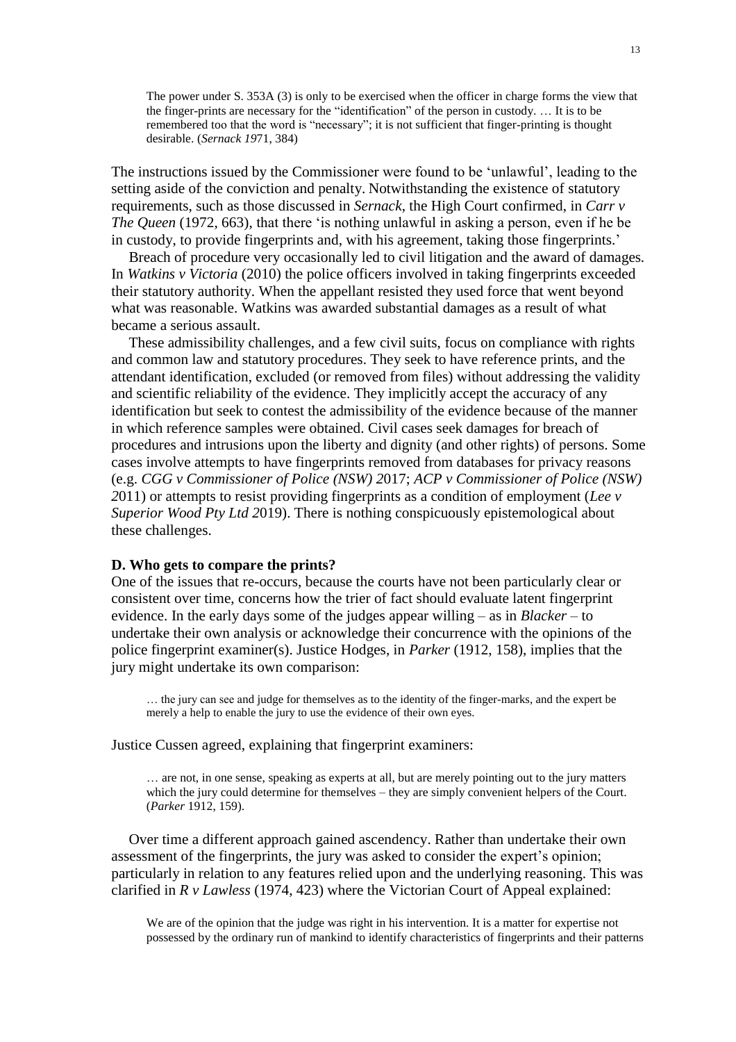The power under S. 353A (3) is only to be exercised when the officer in charge forms the view that the finger-prints are necessary for the "identification" of the person in custody. … It is to be remembered too that the word is "necessary"; it is not sufficient that finger-printing is thought desirable. (*Sernack 19*71, 384)

The instructions issued by the Commissioner were found to be 'unlawful', leading to the setting aside of the conviction and penalty. Notwithstanding the existence of statutory requirements, such as those discussed in *Sernack*, the High Court confirmed, in *Carr v The Queen* (1972, 663), that there 'is nothing unlawful in asking a person, even if he be in custody, to provide fingerprints and, with his agreement, taking those fingerprints.'

Breach of procedure very occasionally led to civil litigation and the award of damages*.* In *Watkins v Victoria* (2010) the police officers involved in taking fingerprints exceeded their statutory authority. When the appellant resisted they used force that went beyond what was reasonable. Watkins was awarded substantial damages as a result of what became a serious assault.

These admissibility challenges, and a few civil suits, focus on compliance with rights and common law and statutory procedures. They seek to have reference prints, and the attendant identification, excluded (or removed from files) without addressing the validity and scientific reliability of the evidence. They implicitly accept the accuracy of any identification but seek to contest the admissibility of the evidence because of the manner in which reference samples were obtained. Civil cases seek damages for breach of procedures and intrusions upon the liberty and dignity (and other rights) of persons. Some cases involve attempts to have fingerprints removed from databases for privacy reasons (e.g. *CGG v Commissioner of Police (NSW) 2*017; *ACP v Commissioner of Police (NSW) 2*011) or attempts to resist providing fingerprints as a condition of employment (*Lee v Superior Wood Pty Ltd 2*019). There is nothing conspicuously epistemological about these challenges.

## **D. Who gets to compare the prints?**

One of the issues that re-occurs, because the courts have not been particularly clear or consistent over time, concerns how the trier of fact should evaluate latent fingerprint evidence. In the early days some of the judges appear willing – as in *Blacker* – to undertake their own analysis or acknowledge their concurrence with the opinions of the police fingerprint examiner(s). Justice Hodges, in *Parker* (1912, 158), implies that the jury might undertake its own comparison:

… the jury can see and judge for themselves as to the identity of the finger-marks, and the expert be merely a help to enable the jury to use the evidence of their own eyes.

Justice Cussen agreed, explaining that fingerprint examiners:

… are not, in one sense, speaking as experts at all, but are merely pointing out to the jury matters which the jury could determine for themselves – they are simply convenient helpers of the Court. (*Parker* 1912, 159).

Over time a different approach gained ascendency. Rather than undertake their own assessment of the fingerprints, the jury was asked to consider the expert's opinion; particularly in relation to any features relied upon and the underlying reasoning. This was clarified in *R v Lawless* (1974, 423) where the Victorian Court of Appeal explained:

We are of the opinion that the judge was right in his intervention. It is a matter for expertise not possessed by the ordinary run of mankind to identify characteristics of fingerprints and their patterns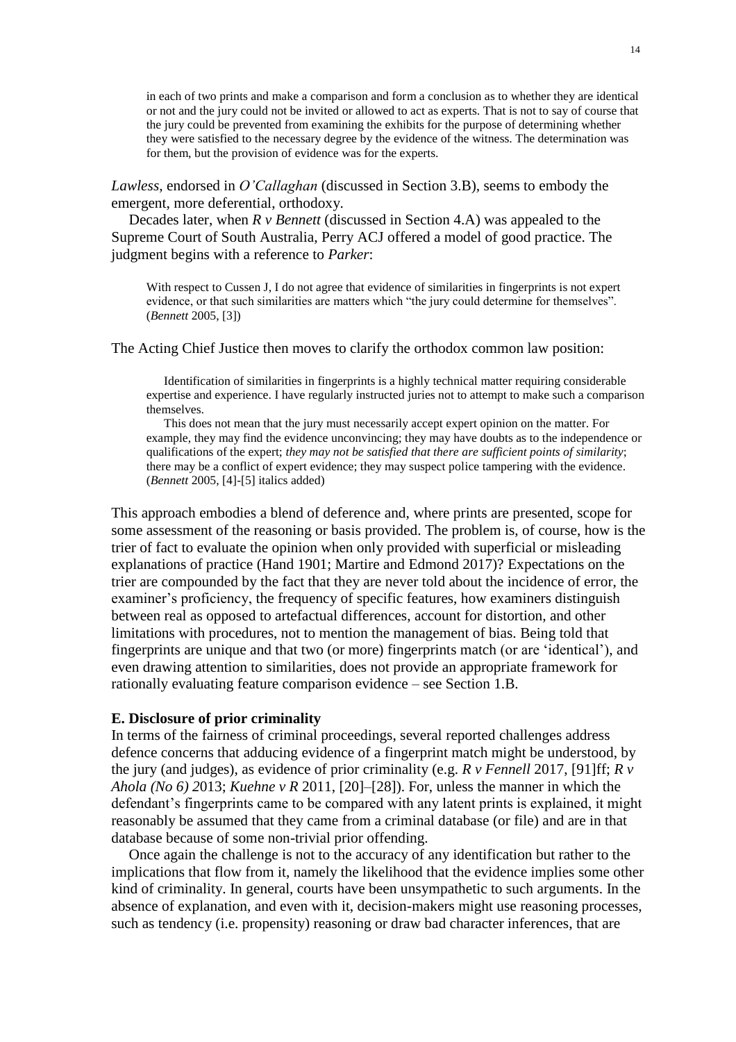in each of two prints and make a comparison and form a conclusion as to whether they are identical or not and the jury could not be invited or allowed to act as experts. That is not to say of course that the jury could be prevented from examining the exhibits for the purpose of determining whether they were satisfied to the necessary degree by the evidence of the witness. The determination was for them, but the provision of evidence was for the experts.

*Lawless*, endorsed in *O'Callaghan* (discussed in Section 3.B)*,* seems to embody the emergent, more deferential, orthodoxy.

Decades later, when *R v Bennett* (discussed in Section 4.A) was appealed to the Supreme Court of South Australia, Perry ACJ offered a model of good practice. The judgment begins with a reference to *Parker*:

With respect to Cussen J, I do not agree that evidence of similarities in fingerprints is not expert evidence, or that such similarities are matters which "the jury could determine for themselves". (*Bennett* 2005, [3])

The Acting Chief Justice then moves to clarify the orthodox common law position:

Identification of similarities in fingerprints is a highly technical matter requiring considerable expertise and experience. I have regularly instructed juries not to attempt to make such a comparison themselves.

This does not mean that the jury must necessarily accept expert opinion on the matter. For example, they may find the evidence unconvincing; they may have doubts as to the independence or qualifications of the expert; *they may not be satisfied that there are sufficient points of similarity*; there may be a conflict of expert evidence; they may suspect police tampering with the evidence. (*Bennett* 2005, [4]-[5] italics added)

This approach embodies a blend of deference and, where prints are presented, scope for some assessment of the reasoning or basis provided. The problem is, of course, how is the trier of fact to evaluate the opinion when only provided with superficial or misleading explanations of practice (Hand 1901; Martire and Edmond 2017)? Expectations on the trier are compounded by the fact that they are never told about the incidence of error, the examiner's proficiency, the frequency of specific features, how examiners distinguish between real as opposed to artefactual differences, account for distortion, and other limitations with procedures, not to mention the management of bias. Being told that fingerprints are unique and that two (or more) fingerprints match (or are 'identical'), and even drawing attention to similarities, does not provide an appropriate framework for rationally evaluating feature comparison evidence – see Section 1.B.

#### **E. Disclosure of prior criminality**

In terms of the fairness of criminal proceedings, several reported challenges address defence concerns that adducing evidence of a fingerprint match might be understood, by the jury (and judges), as evidence of prior criminality (e.g. *R v Fennell* 2017, [91]ff; *R v Ahola (No 6) 2*013; *Kuehne v R* 2011, [20]–[28]). For, unless the manner in which the defendant's fingerprints came to be compared with any latent prints is explained, it might reasonably be assumed that they came from a criminal database (or file) and are in that database because of some non-trivial prior offending.

Once again the challenge is not to the accuracy of any identification but rather to the implications that flow from it, namely the likelihood that the evidence implies some other kind of criminality. In general, courts have been unsympathetic to such arguments. In the absence of explanation, and even with it, decision-makers might use reasoning processes, such as tendency (i.e. propensity) reasoning or draw bad character inferences, that are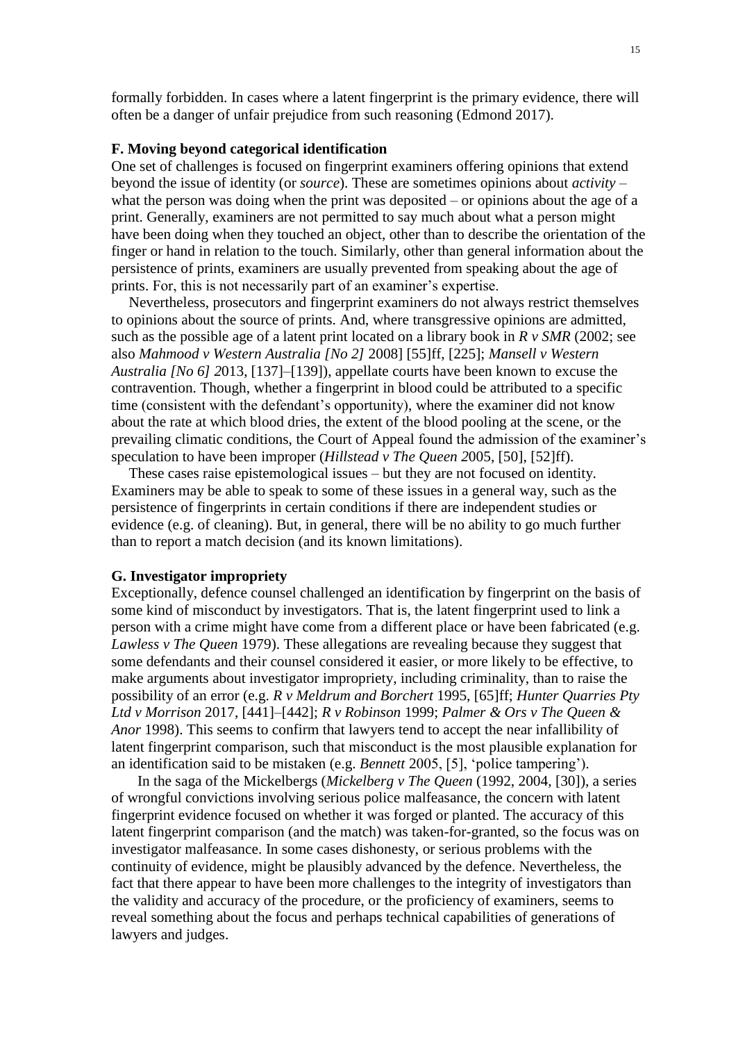formally forbidden. In cases where a latent fingerprint is the primary evidence, there will often be a danger of unfair prejudice from such reasoning (Edmond 2017).

### **F. Moving beyond categorical identification**

One set of challenges is focused on fingerprint examiners offering opinions that extend beyond the issue of identity (or *source*). These are sometimes opinions about *activity* – what the person was doing when the print was deposited – or opinions about the age of a print. Generally, examiners are not permitted to say much about what a person might have been doing when they touched an object, other than to describe the orientation of the finger or hand in relation to the touch. Similarly, other than general information about the persistence of prints, examiners are usually prevented from speaking about the age of prints. For, this is not necessarily part of an examiner's expertise.

Nevertheless, prosecutors and fingerprint examiners do not always restrict themselves to opinions about the source of prints. And, where transgressive opinions are admitted, such as the possible age of a latent print located on a library book in *R v SMR* (2002; see also *Mahmood v Western Australia [No 2]* 2008] [55]ff, [225]; *Mansell v Western Australia [No 6] 2*013, [137]–[139]), appellate courts have been known to excuse the contravention. Though, whether a fingerprint in blood could be attributed to a specific time (consistent with the defendant's opportunity), where the examiner did not know about the rate at which blood dries, the extent of the blood pooling at the scene, or the prevailing climatic conditions, the Court of Appeal found the admission of the examiner's speculation to have been improper (*Hillstead v The Queen 2*005, [50], [52]ff).

These cases raise epistemological issues – but they are not focused on identity. Examiners may be able to speak to some of these issues in a general way, such as the persistence of fingerprints in certain conditions if there are independent studies or evidence (e.g. of cleaning). But, in general, there will be no ability to go much further than to report a match decision (and its known limitations).

#### **G. Investigator impropriety**

Exceptionally, defence counsel challenged an identification by fingerprint on the basis of some kind of misconduct by investigators. That is, the latent fingerprint used to link a person with a crime might have come from a different place or have been fabricated (e.g. *Lawless v The Queen* 1979). These allegations are revealing because they suggest that some defendants and their counsel considered it easier, or more likely to be effective, to make arguments about investigator impropriety, including criminality, than to raise the possibility of an error (e.g. *R v Meldrum and Borchert* 1995, [65]ff; *Hunter Quarries Pty Ltd v Morrison* 2017, [441]–[442]; *R v Robinson* 1999; *Palmer & Ors v The Queen & Anor* 1998). This seems to confirm that lawyers tend to accept the near infallibility of latent fingerprint comparison, such that misconduct is the most plausible explanation for an identification said to be mistaken (e.g. *Bennett* 2005, [5], 'police tampering').

In the saga of the Mickelbergs (*Mickelberg v The Queen* (1992, 2004, [30]), a series of wrongful convictions involving serious police malfeasance, the concern with latent fingerprint evidence focused on whether it was forged or planted. The accuracy of this latent fingerprint comparison (and the match) was taken-for-granted, so the focus was on investigator malfeasance. In some cases dishonesty, or serious problems with the continuity of evidence, might be plausibly advanced by the defence. Nevertheless, the fact that there appear to have been more challenges to the integrity of investigators than the validity and accuracy of the procedure, or the proficiency of examiners, seems to reveal something about the focus and perhaps technical capabilities of generations of lawyers and judges.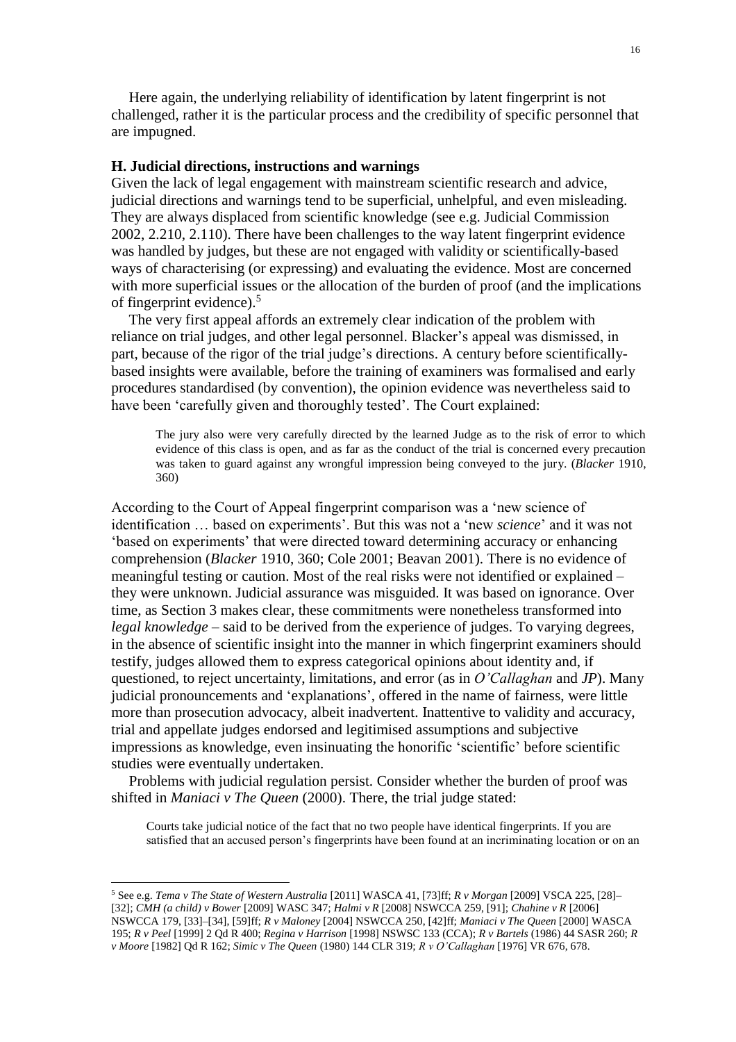Here again, the underlying reliability of identification by latent fingerprint is not challenged, rather it is the particular process and the credibility of specific personnel that are impugned.

#### **H. Judicial directions, instructions and warnings**

Given the lack of legal engagement with mainstream scientific research and advice, judicial directions and warnings tend to be superficial, unhelpful, and even misleading. They are always displaced from scientific knowledge (see e.g. Judicial Commission 2002, 2.210, 2.110). There have been challenges to the way latent fingerprint evidence was handled by judges, but these are not engaged with validity or scientifically-based ways of characterising (or expressing) and evaluating the evidence. Most are concerned with more superficial issues or the allocation of the burden of proof (and the implications of fingerprint evidence). 5

The very first appeal affords an extremely clear indication of the problem with reliance on trial judges, and other legal personnel. Blacker's appeal was dismissed, in part, because of the rigor of the trial judge's directions. A century before scientificallybased insights were available, before the training of examiners was formalised and early procedures standardised (by convention), the opinion evidence was nevertheless said to have been 'carefully given and thoroughly tested'. The Court explained:

The jury also were very carefully directed by the learned Judge as to the risk of error to which evidence of this class is open, and as far as the conduct of the trial is concerned every precaution was taken to guard against any wrongful impression being conveyed to the jury. (*Blacker* 1910, 360)

According to the Court of Appeal fingerprint comparison was a 'new science of identification … based on experiments'. But this was not a 'new *science*' and it was not 'based on experiments' that were directed toward determining accuracy or enhancing comprehension (*Blacker* 1910, 360; Cole 2001; Beavan 2001). There is no evidence of meaningful testing or caution. Most of the real risks were not identified or explained – they were unknown. Judicial assurance was misguided. It was based on ignorance. Over time, as Section 3 makes clear, these commitments were nonetheless transformed into *legal knowledge* – said to be derived from the experience of judges. To varying degrees, in the absence of scientific insight into the manner in which fingerprint examiners should testify, judges allowed them to express categorical opinions about identity and, if questioned, to reject uncertainty, limitations, and error (as in *O'Callaghan* and *JP*). Many judicial pronouncements and 'explanations', offered in the name of fairness, were little more than prosecution advocacy, albeit inadvertent. Inattentive to validity and accuracy, trial and appellate judges endorsed and legitimised assumptions and subjective impressions as knowledge, even insinuating the honorific 'scientific' before scientific studies were eventually undertaken.

Problems with judicial regulation persist. Consider whether the burden of proof was shifted in *Maniaci v The Queen* (2000). There, the trial judge stated:

Courts take judicial notice of the fact that no two people have identical fingerprints. If you are satisfied that an accused person's fingerprints have been found at an incriminating location or on an

 $\overline{a}$ 

<sup>5</sup> See e.g. *Tema v The State of Western Australia* [2011] WASCA 41, [73]ff; *R v Morgan* [2009] VSCA 225, [28]– [32]; *CMH (a child) v Bower* [2009] WASC 347; *Halmi v R* [2008] NSWCCA 259, [91]; *Chahine v R* [2006] NSWCCA 179, [33]–[34], [59]ff; *R v Maloney* [2004] NSWCCA 250, [42]ff; *Maniaci v The Queen* [2000] WASCA 195; *R v Peel* [1999] 2 Qd R 400; *Regina v Harrison* [1998] NSWSC 133 (CCA); *R v Bartels* (1986) 44 SASR 260; *R v Moore* [1982] Qd R 162; *Simic v The Queen* (1980) 144 CLR 319; *R v O'Callaghan* [\[1976\] VR 676,](https://www-westlaw-com-au.wwwproxy1.library.unsw.edu.au/maf/wlau/app/document?docguid=I91ef475065c111e6881a84759648e093&&src=doc&snippets=true&startChunk=1&endChunk=1&isTocNav=true&tocDs=AUNZ_CASE_TOC#anchor_I4e8eea359cb411e088a4c4b2eb8a5af1) 678.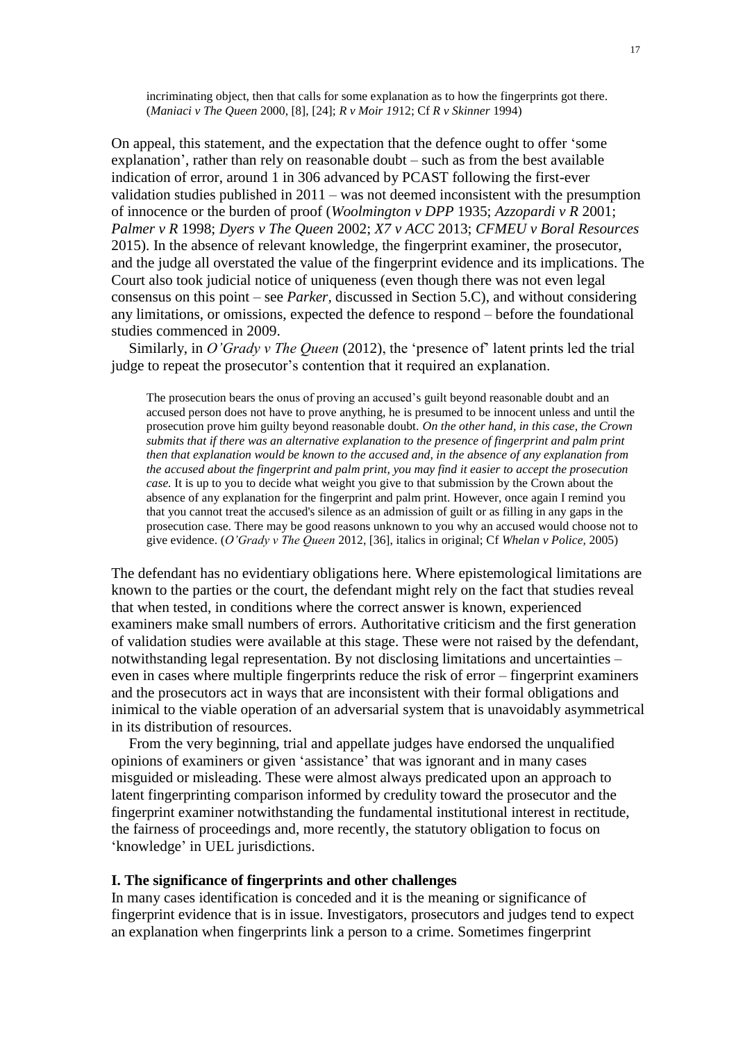incriminating object, then that calls for some explanation as to how the fingerprints got there. (*Maniaci v The Queen* 2000, [8], [24]; *R v Moir 19*12; Cf *R v Skinner* 1994)

On appeal, this statement, and the expectation that the defence ought to offer 'some explanation', rather than rely on reasonable doubt – such as from the best available indication of error, around 1 in 306 advanced by PCAST following the first-ever validation studies published in 2011 – was not deemed inconsistent with the presumption of innocence or the burden of proof (*Woolmington v DPP* 1935; *Azzopardi v R* 2001; *Palmer v R* 1998; *Dyers v The Queen* 2002; *X7 v ACC* 2013; *CFMEU v Boral Resources* 2015). In the absence of relevant knowledge, the fingerprint examiner, the prosecutor, and the judge all overstated the value of the fingerprint evidence and its implications. The Court also took judicial notice of uniqueness (even though there was not even legal consensus on this point – see *Parker,* discussed in Section 5.C), and without considering any limitations, or omissions, expected the defence to respond – before the foundational studies commenced in 2009.

Similarly, in *O'Grady v The Queen* (2012), the 'presence of' latent prints led the trial judge to repeat the prosecutor's contention that it required an explanation.

The prosecution bears the onus of proving an accused's guilt beyond reasonable doubt and an accused person does not have to prove anything, he is presumed to be innocent unless and until the prosecution prove him guilty beyond reasonable doubt. *On the other hand, in this case, the Crown submits that if there was an alternative explanation to the presence of fingerprint and palm print then that explanation would be known to the accused and, in the absence of any explanation from the accused about the fingerprint and palm print, you may find it easier to accept the prosecution case.* It is up to you to decide what weight you give to that submission by the Crown about the absence of any explanation for the fingerprint and palm print. However, once again I remind you that you cannot treat the accused's silence as an admission of guilt or as filling in any gaps in the prosecution case. There may be good reasons unknown to you why an accused would choose not to give evidence. (*O'Grady v The Queen* 2012, [36], italics in original; Cf *Whelan v Police,* 2005)

The defendant has no evidentiary obligations here. Where epistemological limitations are known to the parties or the court, the defendant might rely on the fact that studies reveal that when tested, in conditions where the correct answer is known, experienced examiners make small numbers of errors. Authoritative criticism and the first generation of validation studies were available at this stage. These were not raised by the defendant, notwithstanding legal representation. By not disclosing limitations and uncertainties – even in cases where multiple fingerprints reduce the risk of error – fingerprint examiners and the prosecutors act in ways that are inconsistent with their formal obligations and inimical to the viable operation of an adversarial system that is unavoidably asymmetrical in its distribution of resources.

From the very beginning, trial and appellate judges have endorsed the unqualified opinions of examiners or given 'assistance' that was ignorant and in many cases misguided or misleading. These were almost always predicated upon an approach to latent fingerprinting comparison informed by credulity toward the prosecutor and the fingerprint examiner notwithstanding the fundamental institutional interest in rectitude, the fairness of proceedings and, more recently, the statutory obligation to focus on 'knowledge' in UEL jurisdictions.

## **I. The significance of fingerprints and other challenges**

In many cases identification is conceded and it is the meaning or significance of fingerprint evidence that is in issue. Investigators, prosecutors and judges tend to expect an explanation when fingerprints link a person to a crime. Sometimes fingerprint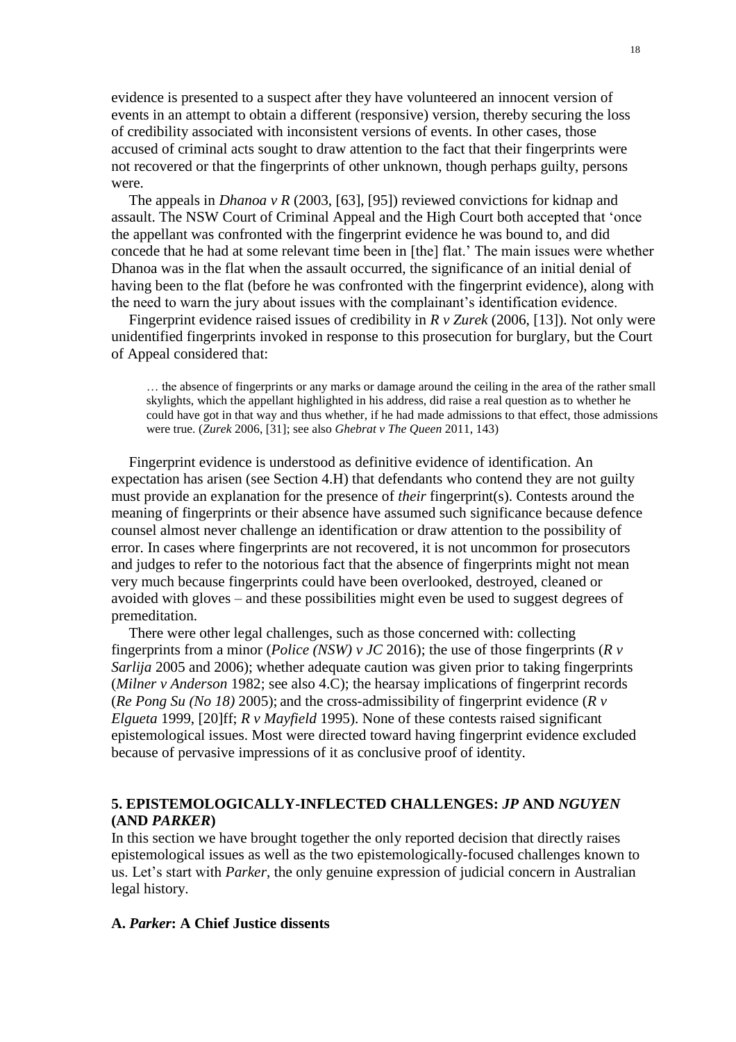evidence is presented to a suspect after they have volunteered an innocent version of events in an attempt to obtain a different (responsive) version, thereby securing the loss of credibility associated with inconsistent versions of events. In other cases, those accused of criminal acts sought to draw attention to the fact that their fingerprints were not recovered or that the fingerprints of other unknown, though perhaps guilty, persons were.

The appeals in *Dhanoa v R* (2003, [63], [95]) reviewed convictions for kidnap and assault. The NSW Court of Criminal Appeal and the High Court both accepted that 'once the appellant was confronted with the fingerprint evidence he was bound to, and did concede that he had at some relevant time been in [the] flat.' The main issues were whether Dhanoa was in the flat when the assault occurred, the significance of an initial denial of having been to the flat (before he was confronted with the fingerprint evidence), along with the need to warn the jury about issues with the complainant's identification evidence.

Fingerprint evidence raised issues of credibility in *R v Zurek* (2006, [13]). Not only were unidentified fingerprints invoked in response to this prosecution for burglary, but the Court of Appeal considered that:

… the absence of fingerprints or any marks or damage around the ceiling in the area of the rather small skylights, which the appellant highlighted in his address, did raise a real question as to whether he could have got in that way and thus whether, if he had made admissions to that effect, those admissions were true. (*Zurek* 2006, [31]; see also *Ghebrat v The Queen* 2011, 143)

Fingerprint evidence is understood as definitive evidence of identification. An expectation has arisen (see Section 4.H) that defendants who contend they are not guilty must provide an explanation for the presence of *their* fingerprint(s). Contests around the meaning of fingerprints or their absence have assumed such significance because defence counsel almost never challenge an identification or draw attention to the possibility of error. In cases where fingerprints are not recovered, it is not uncommon for prosecutors and judges to refer to the notorious fact that the absence of fingerprints might not mean very much because fingerprints could have been overlooked, destroyed, cleaned or avoided with gloves – and these possibilities might even be used to suggest degrees of premeditation.

There were other legal challenges, such as those concerned with: collecting fingerprints from a minor (*Police (NSW) v JC* 2016); the use of those fingerprints (*R v Sarlija* 2005 and 2006); whether adequate caution was given prior to taking fingerprints (*Milner v Anderson* 1982; see also 4.C); the hearsay implications of fingerprint records (*Re Pong Su (No 18)* 2005); and the cross-admissibility of fingerprint evidence (*R v Elgueta* 1999, [20]ff; *R v Mayfield* 1995). None of these contests raised significant epistemological issues. Most were directed toward having fingerprint evidence excluded because of pervasive impressions of it as conclusive proof of identity.

# **5. EPISTEMOLOGICALLY-INFLECTED CHALLENGES:** *JP* **AND** *NGUYEN* **(AND** *PARKER***)**

In this section we have brought together the only reported decision that directly raises epistemological issues as well as the two epistemologically-focused challenges known to us. Let's start with *Parker*, the only genuine expression of judicial concern in Australian legal history.

# **A.** *Parker***: A Chief Justice dissents**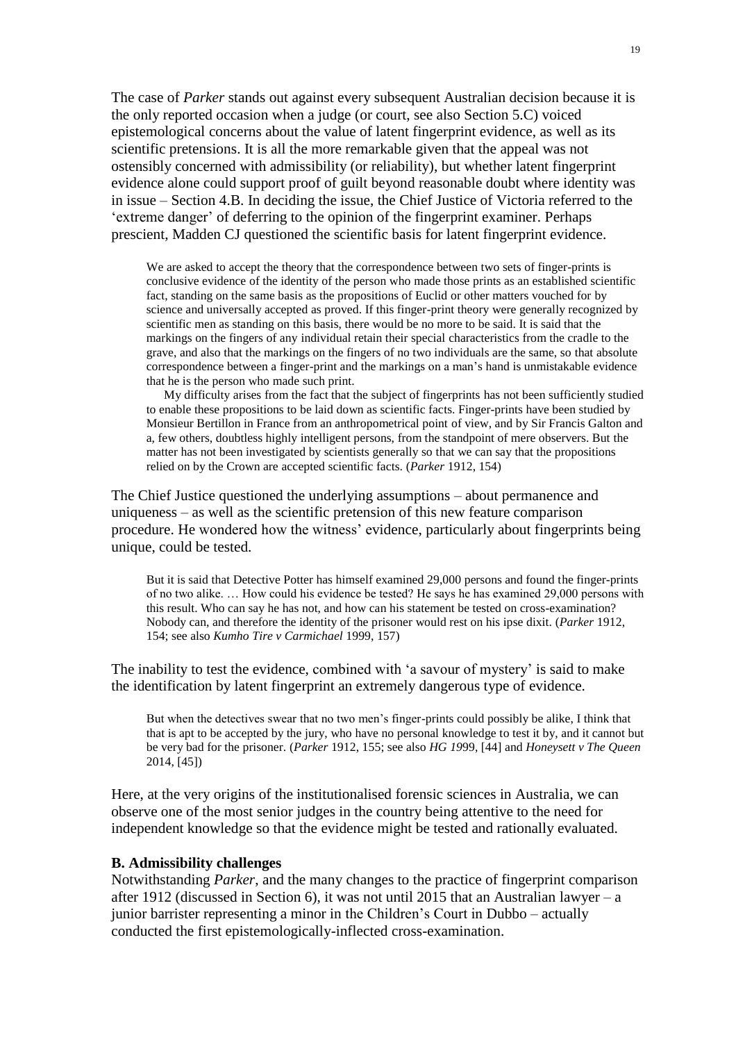The case of *Parker* stands out against every subsequent Australian decision because it is the only reported occasion when a judge (or court, see also Section 5.C) voiced epistemological concerns about the value of latent fingerprint evidence, as well as its scientific pretensions. It is all the more remarkable given that the appeal was not ostensibly concerned with admissibility (or reliability), but whether latent fingerprint evidence alone could support proof of guilt beyond reasonable doubt where identity was in issue – Section 4.B. In deciding the issue, the Chief Justice of Victoria referred to the 'extreme danger' of deferring to the opinion of the fingerprint examiner. Perhaps prescient, Madden CJ questioned the scientific basis for latent fingerprint evidence.

We are asked to accept the theory that the correspondence between two sets of finger-prints is conclusive evidence of the identity of the person who made those prints as an established scientific fact, standing on the same basis as the propositions of Euclid or other matters vouched for by science and universally accepted as proved. If this finger-print theory were generally recognized by scientific men as standing on this basis, there would be no more to be said. It is said that the markings on the fingers of any individual retain their special characteristics from the cradle to the grave, and also that the markings on the fingers of no two individuals are the same, so that absolute correspondence between a finger-print and the markings on a man's hand is unmistakable evidence that he is the person who made such print.

My difficulty arises from the fact that the subject of fingerprints has not been sufficiently studied to enable these propositions to be laid down as scientific facts. Finger-prints have been studied by Monsieur Bertillon in France from an anthropometrical point of view, and by Sir Francis Galton and a, few others, doubtless highly intelligent persons, from the standpoint of mere observers. But the matter has not been investigated by scientists generally so that we can say that the propositions relied on by the Crown are accepted scientific facts. (*Parker* 1912, 154)

The Chief Justice questioned the underlying assumptions – about permanence and uniqueness – as well as the scientific pretension of this new feature comparison procedure. He wondered how the witness' evidence, particularly about fingerprints being unique, could be tested.

But it is said that Detective Potter has himself examined 29,000 persons and found the finger-prints of no two alike. … How could his evidence be tested? He says he has examined 29,000 persons with this result. Who can say he has not, and how can his statement be tested on cross-examination? Nobody can, and therefore the identity of the prisoner would rest on his ipse dixit. (*Parker* 1912, 154; see also *Kumho Tire v Carmichael* 1999, 157)

The inability to test the evidence, combined with 'a savour of mystery' is said to make the identification by latent fingerprint an extremely dangerous type of evidence.

But when the detectives swear that no two men's finger-prints could possibly be alike, I think that that is apt to be accepted by the jury, who have no personal knowledge to test it by, and it cannot but be very bad for the prisoner. (*Parker* 1912, 155; see also *HG 19*99, [44] and *Honeysett v The Queen* 2014, [45])

Here, at the very origins of the institutionalised forensic sciences in Australia, we can observe one of the most senior judges in the country being attentive to the need for independent knowledge so that the evidence might be tested and rationally evaluated.

# **B. Admissibility challenges**

Notwithstanding *Parker*, and the many changes to the practice of fingerprint comparison after 1912 (discussed in Section 6), it was not until 2015 that an Australian lawyer – a junior barrister representing a minor in the Children's Court in Dubbo – actually conducted the first epistemologically-inflected cross-examination.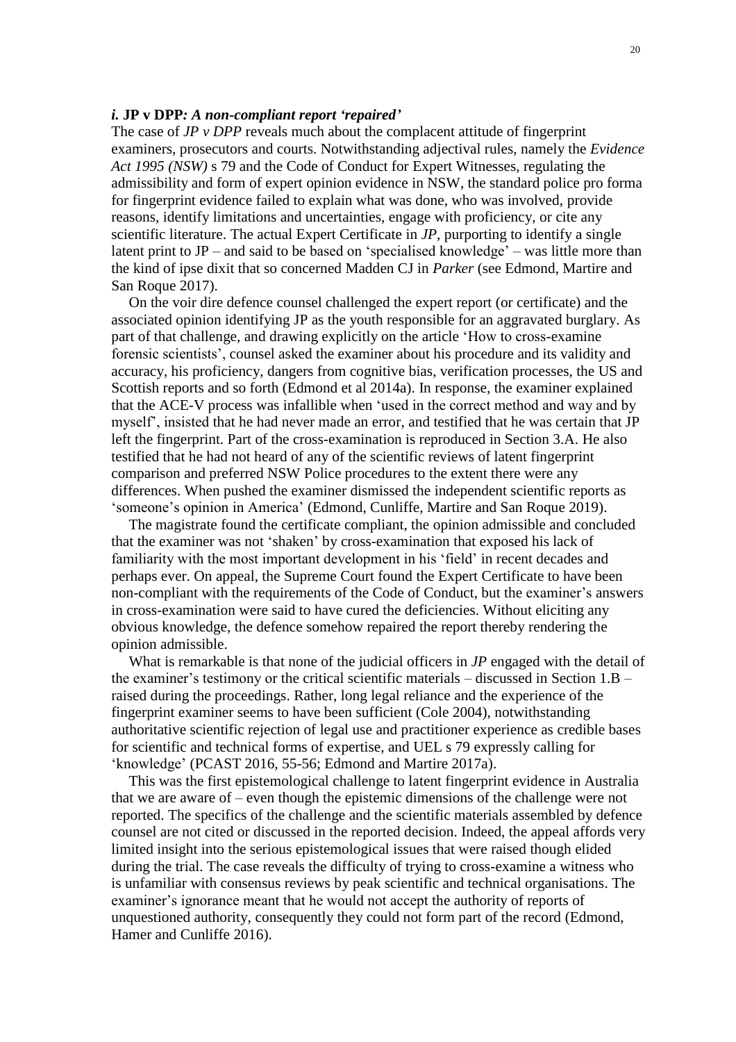## *i.* **JP v DPP***: A non-compliant report 'repaired'*

The case of *JP v DPP* reveals much about the complacent attitude of fingerprint examiners, prosecutors and courts. Notwithstanding adjectival rules, namely the *Evidence Act 1995 (NSW)* s 79 and the Code of Conduct for Expert Witnesses, regulating the admissibility and form of expert opinion evidence in NSW, the standard police pro forma for fingerprint evidence failed to explain what was done, who was involved, provide reasons, identify limitations and uncertainties, engage with proficiency, or cite any scientific literature. The actual Expert Certificate in *JP*, purporting to identify a single latent print to JP – and said to be based on 'specialised knowledge' – was little more than the kind of ipse dixit that so concerned Madden CJ in *Parker* (see Edmond, Martire and San Roque 2017).

On the voir dire defence counsel challenged the expert report (or certificate) and the associated opinion identifying JP as the youth responsible for an aggravated burglary. As part of that challenge, and drawing explicitly on the article 'How to cross-examine forensic scientists', counsel asked the examiner about his procedure and its validity and accuracy, his proficiency, dangers from cognitive bias, verification processes, the US and Scottish reports and so forth (Edmond et al 2014a). In response, the examiner explained that the ACE-V process was infallible when 'used in the correct method and way and by myself', insisted that he had never made an error, and testified that he was certain that JP left the fingerprint. Part of the cross-examination is reproduced in Section 3.A. He also testified that he had not heard of any of the scientific reviews of latent fingerprint comparison and preferred NSW Police procedures to the extent there were any differences. When pushed the examiner dismissed the independent scientific reports as 'someone's opinion in America' (Edmond, Cunliffe, Martire and San Roque 2019).

The magistrate found the certificate compliant, the opinion admissible and concluded that the examiner was not 'shaken' by cross-examination that exposed his lack of familiarity with the most important development in his 'field' in recent decades and perhaps ever. On appeal, the Supreme Court found the Expert Certificate to have been non-compliant with the requirements of the Code of Conduct, but the examiner's answers in cross-examination were said to have cured the deficiencies. Without eliciting any obvious knowledge, the defence somehow repaired the report thereby rendering the opinion admissible.

What is remarkable is that none of the judicial officers in *JP* engaged with the detail of the examiner's testimony or the critical scientific materials – discussed in Section 1.B – raised during the proceedings. Rather, long legal reliance and the experience of the fingerprint examiner seems to have been sufficient (Cole 2004), notwithstanding authoritative scientific rejection of legal use and practitioner experience as credible bases for scientific and technical forms of expertise, and UEL s 79 expressly calling for 'knowledge' (PCAST 2016, 55-56; Edmond and Martire 2017a).

This was the first epistemological challenge to latent fingerprint evidence in Australia that we are aware of – even though the epistemic dimensions of the challenge were not reported. The specifics of the challenge and the scientific materials assembled by defence counsel are not cited or discussed in the reported decision. Indeed, the appeal affords very limited insight into the serious epistemological issues that were raised though elided during the trial. The case reveals the difficulty of trying to cross-examine a witness who is unfamiliar with consensus reviews by peak scientific and technical organisations. The examiner's ignorance meant that he would not accept the authority of reports of unquestioned authority, consequently they could not form part of the record (Edmond, Hamer and Cunliffe 2016).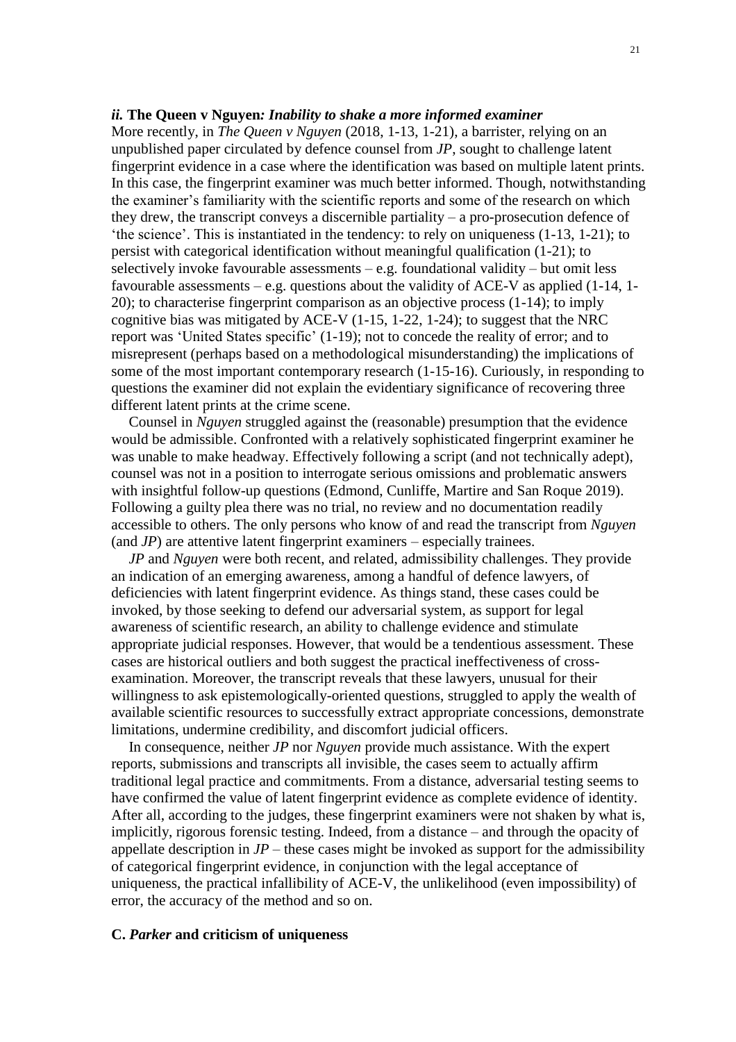### *ii.* **The Queen v Nguyen***: Inability to shake a more informed examiner*

More recently, in *The Queen v Nguyen* (2018, 1-13, 1-21), a barrister, relying on an unpublished paper circulated by defence counsel from *JP*, sought to challenge latent fingerprint evidence in a case where the identification was based on multiple latent prints. In this case, the fingerprint examiner was much better informed. Though, notwithstanding the examiner's familiarity with the scientific reports and some of the research on which they drew, the transcript conveys a discernible partiality – a pro-prosecution defence of 'the science'. This is instantiated in the tendency: to rely on uniqueness (1-13, 1-21); to persist with categorical identification without meaningful qualification (1-21); to selectively invoke favourable assessments – e.g. foundational validity – but omit less favourable assessments – e.g. questions about the validity of ACE-V as applied (1-14, 1- 20); to characterise fingerprint comparison as an objective process (1-14); to imply cognitive bias was mitigated by ACE-V (1-15, 1-22, 1-24); to suggest that the NRC report was 'United States specific' (1-19); not to concede the reality of error; and to misrepresent (perhaps based on a methodological misunderstanding) the implications of some of the most important contemporary research (1-15-16). Curiously, in responding to questions the examiner did not explain the evidentiary significance of recovering three different latent prints at the crime scene.

Counsel in *Nguyen* struggled against the (reasonable) presumption that the evidence would be admissible. Confronted with a relatively sophisticated fingerprint examiner he was unable to make headway. Effectively following a script (and not technically adept), counsel was not in a position to interrogate serious omissions and problematic answers with insightful follow-up questions (Edmond, Cunliffe, Martire and San Roque 2019). Following a guilty plea there was no trial, no review and no documentation readily accessible to others. The only persons who know of and read the transcript from *Nguyen* (and *JP*) are attentive latent fingerprint examiners – especially trainees.

*JP* and *Nguyen* were both recent, and related, admissibility challenges. They provide an indication of an emerging awareness, among a handful of defence lawyers, of deficiencies with latent fingerprint evidence. As things stand, these cases could be invoked, by those seeking to defend our adversarial system, as support for legal awareness of scientific research, an ability to challenge evidence and stimulate appropriate judicial responses. However, that would be a tendentious assessment. These cases are historical outliers and both suggest the practical ineffectiveness of crossexamination. Moreover, the transcript reveals that these lawyers, unusual for their willingness to ask epistemologically-oriented questions, struggled to apply the wealth of available scientific resources to successfully extract appropriate concessions, demonstrate limitations, undermine credibility, and discomfort judicial officers.

In consequence, neither *JP* nor *Nguyen* provide much assistance. With the expert reports, submissions and transcripts all invisible, the cases seem to actually affirm traditional legal practice and commitments. From a distance, adversarial testing seems to have confirmed the value of latent fingerprint evidence as complete evidence of identity. After all, according to the judges, these fingerprint examiners were not shaken by what is, implicitly, rigorous forensic testing. Indeed, from a distance – and through the opacity of appellate description in  $JP$  – these cases might be invoked as support for the admissibility of categorical fingerprint evidence, in conjunction with the legal acceptance of uniqueness, the practical infallibility of ACE-V, the unlikelihood (even impossibility) of error, the accuracy of the method and so on.

### **C.** *Parker* **and criticism of uniqueness**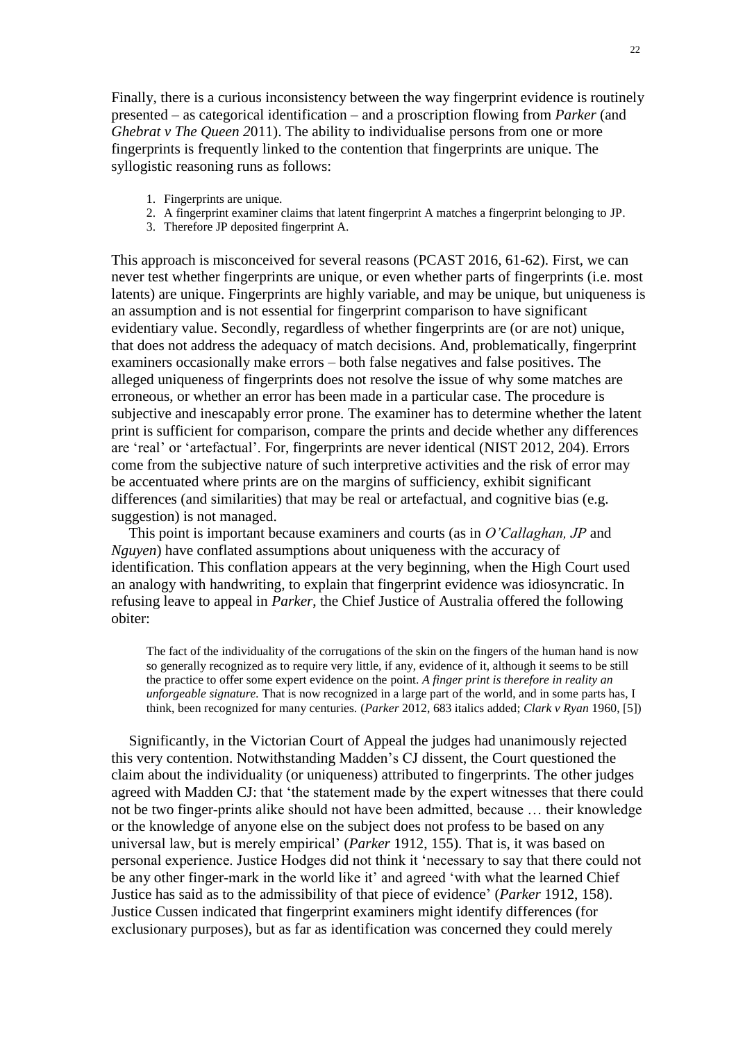Finally, there is a curious inconsistency between the way fingerprint evidence is routinely presented – as categorical identification – and a proscription flowing from *Parker* (and *Ghebrat v The Queen 2*011). The ability to individualise persons from one or more fingerprints is frequently linked to the contention that fingerprints are unique. The syllogistic reasoning runs as follows:

- 1. Fingerprints are unique.
- 2. A fingerprint examiner claims that latent fingerprint A matches a fingerprint belonging to JP.
- 3. Therefore JP deposited fingerprint A.

This approach is misconceived for several reasons (PCAST 2016, 61-62). First, we can never test whether fingerprints are unique, or even whether parts of fingerprints (i.e. most latents) are unique. Fingerprints are highly variable, and may be unique, but uniqueness is an assumption and is not essential for fingerprint comparison to have significant evidentiary value. Secondly, regardless of whether fingerprints are (or are not) unique, that does not address the adequacy of match decisions. And, problematically, fingerprint examiners occasionally make errors – both false negatives and false positives. The alleged uniqueness of fingerprints does not resolve the issue of why some matches are erroneous, or whether an error has been made in a particular case. The procedure is subjective and inescapably error prone. The examiner has to determine whether the latent print is sufficient for comparison, compare the prints and decide whether any differences are 'real' or 'artefactual'. For, fingerprints are never identical (NIST 2012, 204). Errors come from the subjective nature of such interpretive activities and the risk of error may be accentuated where prints are on the margins of sufficiency, exhibit significant differences (and similarities) that may be real or artefactual, and cognitive bias (e.g. suggestion) is not managed.

This point is important because examiners and courts (as in *O'Callaghan, JP* and *Nguyen*) have conflated assumptions about uniqueness with the accuracy of identification. This conflation appears at the very beginning, when the High Court used an analogy with handwriting, to explain that fingerprint evidence was idiosyncratic. In refusing leave to appeal in *Parker*, the Chief Justice of Australia offered the following obiter:

The fact of the individuality of the corrugations of the skin on the fingers of the human hand is now so generally recognized as to require very little, if any, evidence of it, although it seems to be still the practice to offer some expert evidence on the point. *A finger print is therefore in reality an unforgeable signature.* That is now recognized in a large part of the world, and in some parts has, I think, been recognized for many centuries. (*Parker* 2012, 683 italics added; *Clark v Ryan* 1960, [5])

Significantly, in the Victorian Court of Appeal the judges had unanimously rejected this very contention. Notwithstanding Madden's CJ dissent, the Court questioned the claim about the individuality (or uniqueness) attributed to fingerprints. The other judges agreed with Madden CJ: that 'the statement made by the expert witnesses that there could not be two finger-prints alike should not have been admitted, because … their knowledge or the knowledge of anyone else on the subject does not profess to be based on any universal law, but is merely empirical' (*Parker* 1912, 155). That is, it was based on personal experience. Justice Hodges did not think it 'necessary to say that there could not be any other finger-mark in the world like it' and agreed 'with what the learned Chief Justice has said as to the admissibility of that piece of evidence' (*Parker* 1912, 158). Justice Cussen indicated that fingerprint examiners might identify differences (for exclusionary purposes), but as far as identification was concerned they could merely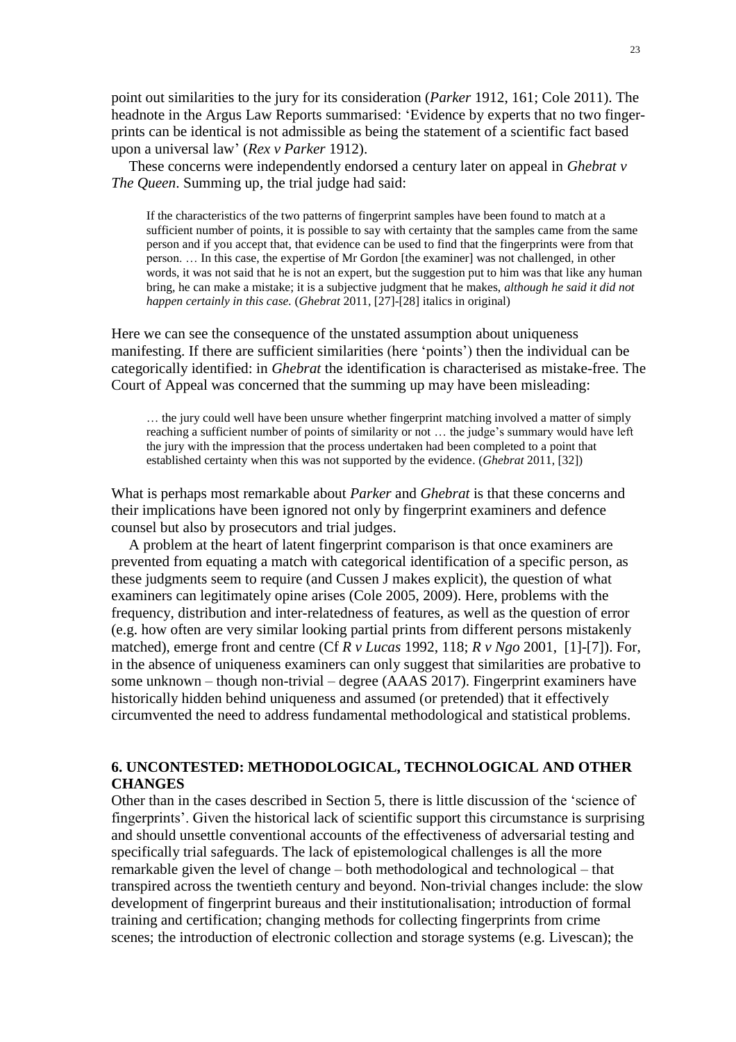point out similarities to the jury for its consideration (*Parker* 1912, 161; Cole 2011). The headnote in the Argus Law Reports summarised: 'Evidence by experts that no two fingerprints can be identical is not admissible as being the statement of a scientific fact based upon a universal law' (*Rex v Parker* 1912).

These concerns were independently endorsed a century later on appeal in *Ghebrat v The Queen*. Summing up, the trial judge had said:

If the characteristics of the two patterns of fingerprint samples have been found to match at a sufficient number of points, it is possible to say with certainty that the samples came from the same person and if you accept that, that evidence can be used to find that the fingerprints were from that person. … In this case, the expertise of Mr Gordon [the examiner] was not challenged, in other words, it was not said that he is not an expert, but the suggestion put to him was that like any human bring, he can make a mistake; it is a subjective judgment that he makes, *although he said it did not happen certainly in this case.* (*Ghebrat* 2011, [27]-[28] italics in original)

Here we can see the consequence of the unstated assumption about uniqueness manifesting. If there are sufficient similarities (here 'points') then the individual can be categorically identified: in *Ghebrat* the identification is characterised as mistake-free. The Court of Appeal was concerned that the summing up may have been misleading:

… the jury could well have been unsure whether fingerprint matching involved a matter of simply reaching a sufficient number of points of similarity or not … the judge's summary would have left the jury with the impression that the process undertaken had been completed to a point that established certainty when this was not supported by the evidence. (*Ghebrat* 2011, [32])

What is perhaps most remarkable about *Parker* and *Ghebrat* is that these concerns and their implications have been ignored not only by fingerprint examiners and defence counsel but also by prosecutors and trial judges.

A problem at the heart of latent fingerprint comparison is that once examiners are prevented from equating a match with categorical identification of a specific person, as these judgments seem to require (and Cussen J makes explicit), the question of what examiners can legitimately opine arises (Cole 2005, 2009). Here, problems with the frequency, distribution and inter-relatedness of features, as well as the question of error (e.g. how often are very similar looking partial prints from different persons mistakenly matched), emerge front and centre (Cf *R v Lucas* 1992, 118; *R v Ngo* 2001, [1]-[7]). For, in the absence of uniqueness examiners can only suggest that similarities are probative to some unknown – though non-trivial – degree (AAAS 2017). Fingerprint examiners have historically hidden behind uniqueness and assumed (or pretended) that it effectively circumvented the need to address fundamental methodological and statistical problems.

# **6. UNCONTESTED: METHODOLOGICAL, TECHNOLOGICAL AND OTHER CHANGES**

Other than in the cases described in Section 5, there is little discussion of the 'science of fingerprints'. Given the historical lack of scientific support this circumstance is surprising and should unsettle conventional accounts of the effectiveness of adversarial testing and specifically trial safeguards. The lack of epistemological challenges is all the more remarkable given the level of change – both methodological and technological – that transpired across the twentieth century and beyond. Non-trivial changes include: the slow development of fingerprint bureaus and their institutionalisation; introduction of formal training and certification; changing methods for collecting fingerprints from crime scenes; the introduction of electronic collection and storage systems (e.g. Livescan); the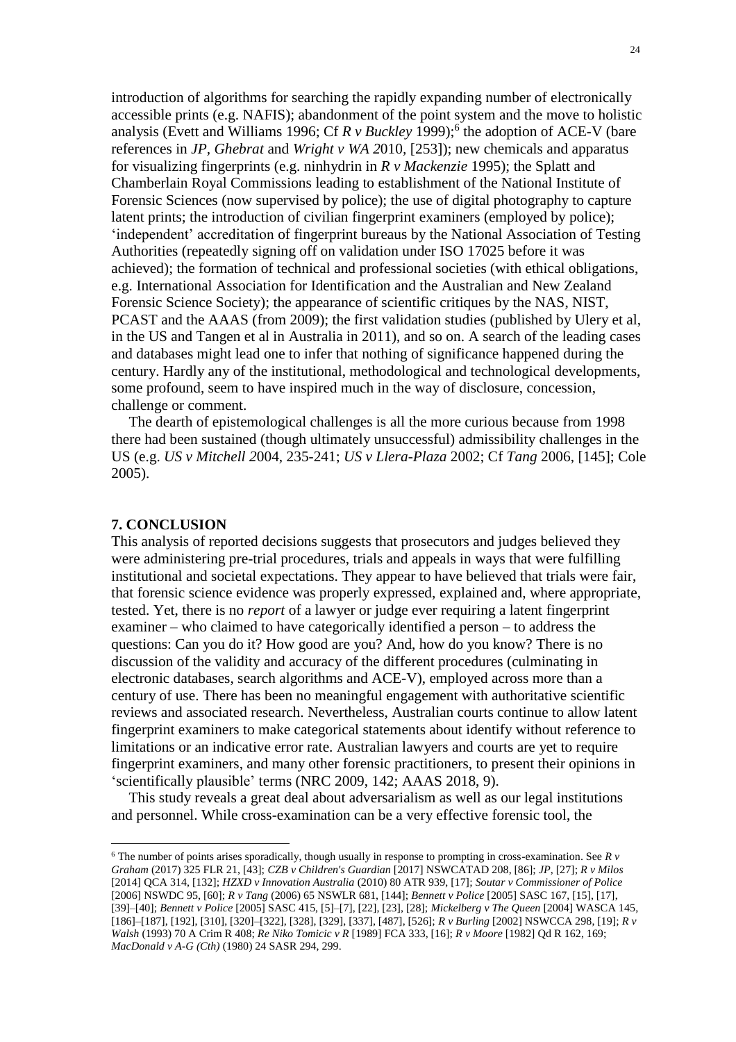introduction of algorithms for searching the rapidly expanding number of electronically accessible prints (e.g. NAFIS); abandonment of the point system and the move to holistic analysis (Evett and Williams 1996; Cf *R v Buckley* 1999); 6 the adoption of ACE-V (bare references in *JP, Ghebrat* and *Wright v WA 2*010*,* [253]); new chemicals and apparatus for visualizing fingerprints (e.g. ninhydrin in *R v Mackenzie* 1995); the Splatt and Chamberlain Royal Commissions leading to establishment of the National Institute of Forensic Sciences (now supervised by police); the use of digital photography to capture latent prints; the introduction of civilian fingerprint examiners (employed by police); 'independent' accreditation of fingerprint bureaus by the National Association of Testing Authorities (repeatedly signing off on validation under ISO 17025 before it was achieved); the formation of technical and professional societies (with ethical obligations, e.g. International Association for Identification and the Australian and New Zealand Forensic Science Society); the appearance of scientific critiques by the NAS, NIST, PCAST and the AAAS (from 2009); the first validation studies (published by Ulery et al, in the US and Tangen et al in Australia in 2011), and so on. A search of the leading cases and databases might lead one to infer that nothing of significance happened during the century. Hardly any of the institutional, methodological and technological developments, some profound, seem to have inspired much in the way of disclosure, concession, challenge or comment.

The dearth of epistemological challenges is all the more curious because from 1998 there had been sustained (though ultimately unsuccessful) admissibility challenges in the US (e.g. *US v Mitchell 2*004, 235-241; *[US v Llera-Plaza](http://www.westlaw.com/Find/Default.wl?rs=dfa1.0&vr=2.0&DB=506&FindType=Y&ReferencePositionType=S&SerialNum=2004376299&ReferencePosition=235)* 2002; Cf *Tang* 2006, [145]; Cole 2005).

# **7. CONCLUSION**

 $\overline{a}$ 

This analysis of reported decisions suggests that prosecutors and judges believed they were administering pre-trial procedures, trials and appeals in ways that were fulfilling institutional and societal expectations. They appear to have believed that trials were fair, that forensic science evidence was properly expressed, explained and, where appropriate, tested. Yet, there is no *report* of a lawyer or judge ever requiring a latent fingerprint examiner – who claimed to have categorically identified a person – to address the questions: Can you do it? How good are you? And, how do you know? There is no discussion of the validity and accuracy of the different procedures (culminating in electronic databases, search algorithms and ACE-V), employed across more than a century of use. There has been no meaningful engagement with authoritative scientific reviews and associated research. Nevertheless, Australian courts continue to allow latent fingerprint examiners to make categorical statements about identify without reference to limitations or an indicative error rate. Australian lawyers and courts are yet to require fingerprint examiners, and many other forensic practitioners, to present their opinions in 'scientifically plausible' terms (NRC 2009, 142; AAAS 2018, 9).

This study reveals a great deal about adversarialism as well as our legal institutions and personnel. While cross-examination can be a very effective forensic tool, the

<sup>6</sup> The number of points arises sporadically, though usually in response to prompting in cross-examination. See *R v Graham* (2017) 325 FLR 21, [43]; *CZB v Children's Guardian* [2017] NSWCATAD 208, [86]; *JP*, [27]; *R v Milos* [2014] QCA 314, [132]; *HZXD v Innovation Australia* (2010) 80 ATR 939, [17]; *Soutar v Commissioner of Police* [2006] NSWDC 95, [60]; *R v Tang* (2006) 65 NSWLR 681, [144]; *Bennett v Police* [2005] SASC 167, [15], [17], [39]–[40]; *Bennett v Police* [2005] SASC 415, [5]–[7], [22], [23], [28]; *Mickelberg v The Queen* [2004] WASCA 145, [186]–[187], [192], [310], [320]–[322], [328], [329], [337], [487], [526]; *R v Burling* [2002] NSWCCA 298, [19]; *R v Walsh* (1993) 70 A Crim R 408; *Re Niko Tomicic v R* [1989] FCA 333, [16]; *R v Moore* [\[1982\] Qd R 162,](https://www-westlaw-com-au.wwwproxy1.library.unsw.edu.au/maf/wlau/app/document?docguid=I89e8ec6156f111e7b72885f377cdafea&&src=rl&hitguid=I01c22b8f9d5811e0a619d462427863b2&snippets=true&startChunk=1&endChunk=1&isTocNav=true&tocDs=AUNZ_CASE_TOC#anchor_I01c22b8f9d5811e0a619d462427863b2) 169; *MacDonald v A-G (Cth)* (1980) 24 SASR 294, 299.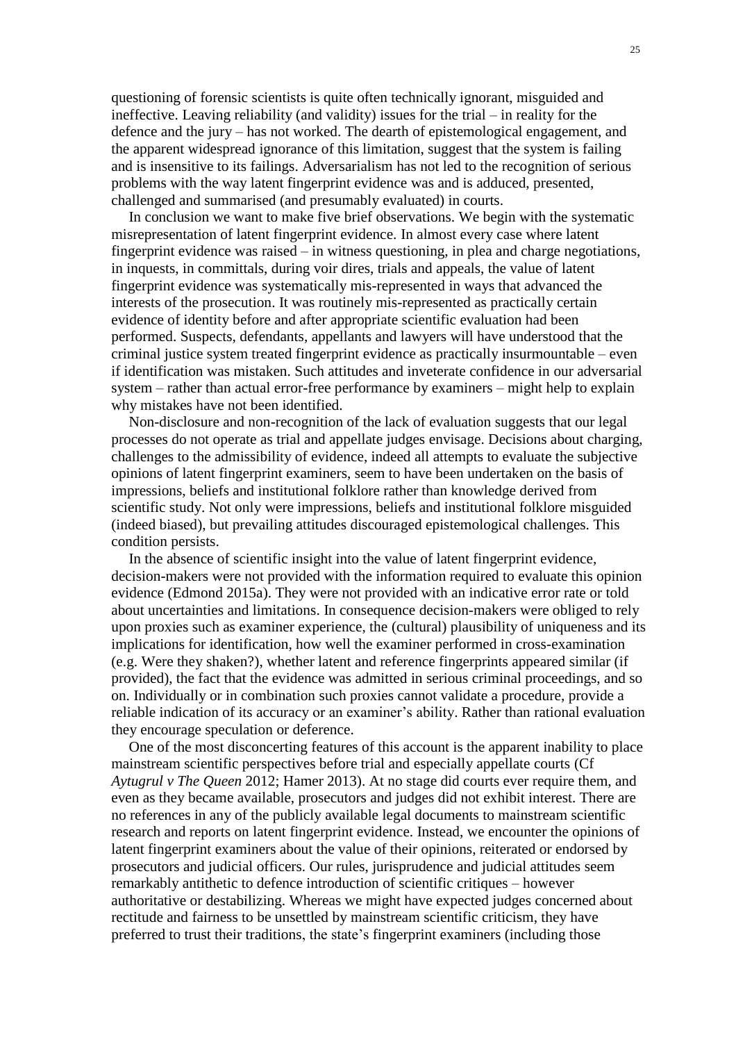questioning of forensic scientists is quite often technically ignorant, misguided and ineffective. Leaving reliability (and validity) issues for the trial – in reality for the defence and the jury – has not worked. The dearth of epistemological engagement, and the apparent widespread ignorance of this limitation, suggest that the system is failing and is insensitive to its failings. Adversarialism has not led to the recognition of serious problems with the way latent fingerprint evidence was and is adduced, presented, challenged and summarised (and presumably evaluated) in courts.

In conclusion we want to make five brief observations. We begin with the systematic misrepresentation of latent fingerprint evidence. In almost every case where latent fingerprint evidence was raised – in witness questioning, in plea and charge negotiations, in inquests, in committals, during voir dires, trials and appeals, the value of latent fingerprint evidence was systematically mis-represented in ways that advanced the interests of the prosecution. It was routinely mis-represented as practically certain evidence of identity before and after appropriate scientific evaluation had been performed. Suspects, defendants, appellants and lawyers will have understood that the criminal justice system treated fingerprint evidence as practically insurmountable – even if identification was mistaken. Such attitudes and inveterate confidence in our adversarial system – rather than actual error-free performance by examiners – might help to explain why mistakes have not been identified.

Non-disclosure and non-recognition of the lack of evaluation suggests that our legal processes do not operate as trial and appellate judges envisage. Decisions about charging, challenges to the admissibility of evidence, indeed all attempts to evaluate the subjective opinions of latent fingerprint examiners, seem to have been undertaken on the basis of impressions, beliefs and institutional folklore rather than knowledge derived from scientific study. Not only were impressions, beliefs and institutional folklore misguided (indeed biased), but prevailing attitudes discouraged epistemological challenges. This condition persists.

In the absence of scientific insight into the value of latent fingerprint evidence, decision-makers were not provided with the information required to evaluate this opinion evidence (Edmond 2015a). They were not provided with an indicative error rate or told about uncertainties and limitations. In consequence decision-makers were obliged to rely upon proxies such as examiner experience, the (cultural) plausibility of uniqueness and its implications for identification, how well the examiner performed in cross-examination (e.g. Were they shaken?), whether latent and reference fingerprints appeared similar (if provided), the fact that the evidence was admitted in serious criminal proceedings, and so on. Individually or in combination such proxies cannot validate a procedure, provide a reliable indication of its accuracy or an examiner's ability. Rather than rational evaluation they encourage speculation or deference.

One of the most disconcerting features of this account is the apparent inability to place mainstream scientific perspectives before trial and especially appellate courts (Cf *Aytugrul v The Queen* 2012; Hamer 2013). At no stage did courts ever require them, and even as they became available, prosecutors and judges did not exhibit interest. There are no references in any of the publicly available legal documents to mainstream scientific research and reports on latent fingerprint evidence. Instead, we encounter the opinions of latent fingerprint examiners about the value of their opinions, reiterated or endorsed by prosecutors and judicial officers. Our rules, jurisprudence and judicial attitudes seem remarkably antithetic to defence introduction of scientific critiques – however authoritative or destabilizing. Whereas we might have expected judges concerned about rectitude and fairness to be unsettled by mainstream scientific criticism, they have preferred to trust their traditions, the state's fingerprint examiners (including those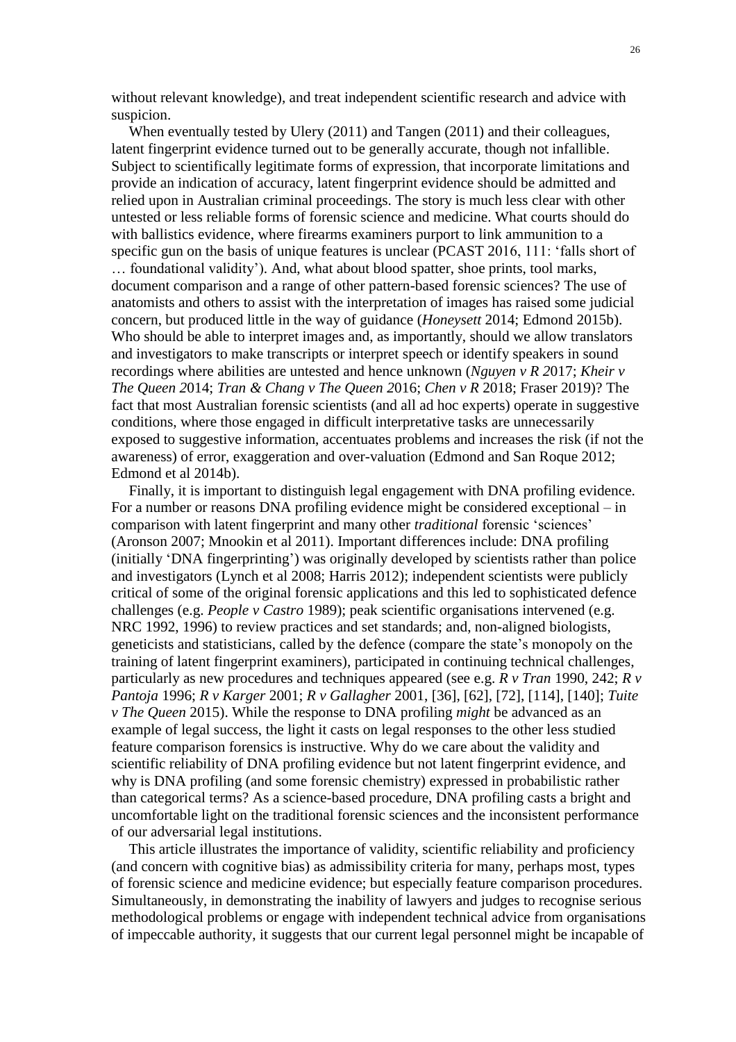without relevant knowledge), and treat independent scientific research and advice with suspicion.

When eventually tested by Ulery (2011) and Tangen (2011) and their colleagues, latent fingerprint evidence turned out to be generally accurate, though not infallible. Subject to scientifically legitimate forms of expression, that incorporate limitations and provide an indication of accuracy, latent fingerprint evidence should be admitted and relied upon in Australian criminal proceedings. The story is much less clear with other untested or less reliable forms of forensic science and medicine. What courts should do with ballistics evidence, where firearms examiners purport to link ammunition to a specific gun on the basis of unique features is unclear (PCAST 2016, 111: 'falls short of … foundational validity'). And, what about blood spatter, shoe prints, tool marks, document comparison and a range of other pattern-based forensic sciences? The use of anatomists and others to assist with the interpretation of images has raised some judicial concern, but produced little in the way of guidance (*Honeysett* 2014; Edmond 2015b). Who should be able to interpret images and, as importantly, should we allow translators and investigators to make transcripts or interpret speech or identify speakers in sound recordings where abilities are untested and hence unknown (*Nguyen v R 2*017; *Kheir v The Queen 2*014; *Tran & Chang v The Queen 2*016; *Chen v R* 2018; Fraser 2019)? The fact that most Australian forensic scientists (and all ad hoc experts) operate in suggestive conditions, where those engaged in difficult interpretative tasks are unnecessarily exposed to suggestive information, accentuates problems and increases the risk (if not the awareness) of error, exaggeration and over-valuation (Edmond and San Roque 2012; Edmond et al 2014b).

Finally, it is important to distinguish legal engagement with DNA profiling evidence. For a number or reasons DNA profiling evidence might be considered exceptional – in comparison with latent fingerprint and many other *traditional* forensic 'sciences' (Aronson 2007; Mnookin et al 2011). Important differences include: DNA profiling (initially 'DNA fingerprinting') was originally developed by scientists rather than police and investigators (Lynch et al 2008; Harris 2012); independent scientists were publicly critical of some of the original forensic applications and this led to sophisticated defence challenges (e.g. *People v Castro* 1989); peak scientific organisations intervened (e.g. NRC 1992, 1996) to review practices and set standards; and, non-aligned biologists, geneticists and statisticians, called by the defence (compare the state's monopoly on the training of latent fingerprint examiners), participated in continuing technical challenges, particularly as new procedures and techniques appeared (see e.g. *R v Tran* 1990, 242; *R v Pantoja* 1996; *R v Karger* 2001; *R v Gallagher* 2001, [36], [62], [72], [114], [140]; *Tuite v The Queen* 2015). While the response to DNA profiling *might* be advanced as an example of legal success, the light it casts on legal responses to the other less studied feature comparison forensics is instructive. Why do we care about the validity and scientific reliability of DNA profiling evidence but not latent fingerprint evidence, and why is DNA profiling (and some forensic chemistry) expressed in probabilistic rather than categorical terms? As a science-based procedure, DNA profiling casts a bright and uncomfortable light on the traditional forensic sciences and the inconsistent performance of our adversarial legal institutions.

This article illustrates the importance of validity, scientific reliability and proficiency (and concern with cognitive bias) as admissibility criteria for many, perhaps most, types of forensic science and medicine evidence; but especially feature comparison procedures. Simultaneously, in demonstrating the inability of lawyers and judges to recognise serious methodological problems or engage with independent technical advice from organisations of impeccable authority, it suggests that our current legal personnel might be incapable of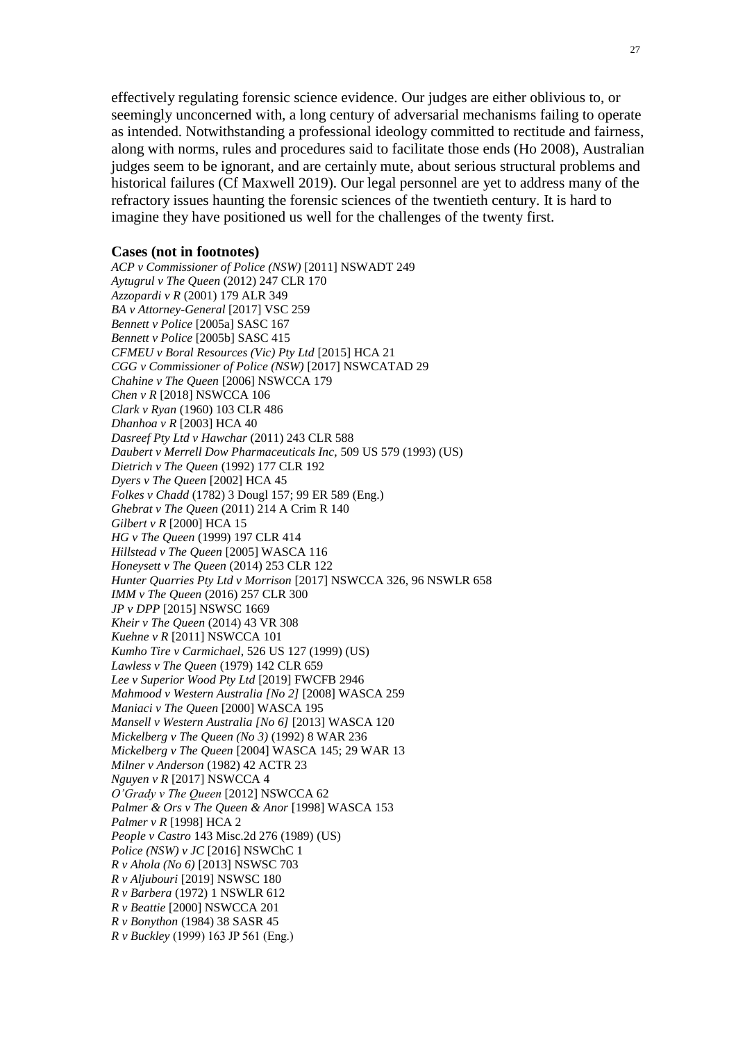effectively regulating forensic science evidence. Our judges are either oblivious to, or seemingly unconcerned with, a long century of adversarial mechanisms failing to operate as intended. Notwithstanding a professional ideology committed to rectitude and fairness, along with norms, rules and procedures said to facilitate those ends (Ho 2008), Australian judges seem to be ignorant, and are certainly mute, about serious structural problems and historical failures (Cf Maxwell 2019). Our legal personnel are yet to address many of the refractory issues haunting the forensic sciences of the twentieth century. It is hard to imagine they have positioned us well for the challenges of the twenty first.

#### **Cases (not in footnotes)**

*ACP v Commissioner of Police (NSW)* [2011] NSWADT 249 *Aytugrul v The Queen* (2012) 247 CLR 170 *Azzopardi v R* (2001) 179 ALR 349 *BA v Attorney-General* [2017] VSC 259 *Bennett v Police* [2005a] SASC 167 *Bennett v Police* [2005b] SASC 415 *CFMEU v Boral Resources (Vic) Pty Ltd* [2015] HCA 21 *CGG v Commissioner of Police (NSW)* [2017] NSWCATAD 29 *Chahine v The Queen* [\[](https://www-westlaw-com-au.wwwproxy1.library.unsw.edu.au/maf/wlau/app/document?&src=doc&docguid=I7789046e9d8e11e0a619d462427863b2&snippets=true&startChunk=1&endChunk=1&extLink=false)2006] NSWCCA 179 *Chen v R* [2018] NSWCCA 106 *Clark v Ryan* (1960) 103 CLR 486 *Dhanhoa v R* [2003] HCA 40 *Dasreef Pty Ltd v Hawchar* (2011) 243 CLR 588 *Daubert v Merrell Dow Pharmaceuticals Inc,* 509 US 579 (1993) (US) *Dietrich v The Queen* (1992) 177 CLR 192 *Dyers v The Queen* [2002] HCA 45 *Folkes v Chadd* (1782) 3 Dougl 157; 99 ER 589 (Eng.) *Ghebrat v The Queen* (2011) 214 A Crim R 140 *Gilbert v R* [2000] HCA 15 *HG v The Queen* (1999) 197 CLR 414 *Hillstead v The Queen* [2005] WASCA 116 *Honeysett v The Queen* (2014) 253 CLR 122 *Hunter Quarries Pty Ltd v Morrison* [2017] NSWCCA 326, 96 NSWLR 658 *IMM v The Queen* (2016) 257 CLR 300 *JP v DPP* [2015] NSWSC 1669 *Kheir v The Queen* (2014) 43 VR 308 *Kuehne v R* [2011] NSWCCA 101 *Kumho Tire v Carmichael*, 526 US 127 (1999) (US) *Lawless v The Queen* (1979) 142 CLR 659 *Lee v Superior Wood Pty Ltd* [2019] FWCFB 2946 *Mahmood v Western Australia [No 2]* [2008] WASCA 259 *Maniaci v The Queen* [2000] WASCA 195 *Mansell v Western Australia [No 6]* [2013] WASCA 120 *Mickelberg v The Queen (No 3)* (1992) 8 WAR 236 *Mickelberg v The Queen* [2004] WASCA 145; 29 WAR 13 *Milner v Anderson* (1982) 42 ACTR 23 *Nguyen v R* [2017] NSWCCA 4 *O'Grady v The Queen* [2012] NSWCCA 62 *Palmer & Ors v The Queen & Anor* [1998] WASCA 153 *Palmer v R* [1998] HCA 2 *People v Castro* 143 Misc.2d 276 (1989) (US) *Police (NSW) v JC* [2016] NSWChC 1 *R v Ahola (No 6)* [2013] NSWSC 703 *R v Aljubouri* [2019] NSWSC 180 *R v Barbera* (1972) 1 NSWLR 612 *R v Beattie* [2000] NSWCCA 201 *R v Bonython* (1984) 38 SASR 45 *R v Buckley* (1999) 163 JP 561 (Eng.)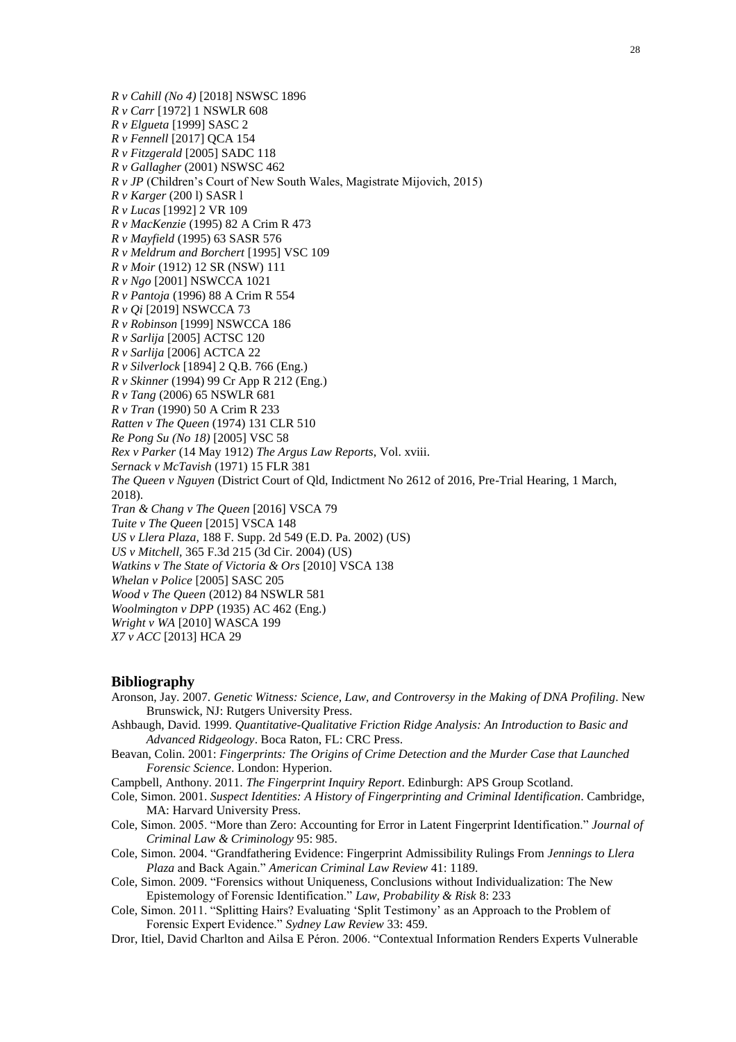*R v Cahill (No 4)* [2018] NSWSC 1896

*R v Carr* [1972] 1 NSWLR 608

*R v Elgueta* [1999] SASC 2

*R v Fennell* [2017] QCA 154

*R v Fitzgerald* [2005] SADC 118

*R v Gallagher* (2001) NSWSC 462

*R v JP* (Children's Court of New South Wales, Magistrate Mijovich, 2015)

*R v Karger* (200 l) SASR l

*R v Lucas* [1992] 2 VR 109

*R v MacKenzie* (1995) 82 A Crim R 473

*R v Mayfield* (1995) 63 SASR 576

*R v Meldrum and Borchert* [1995] VSC 109

*R v Moir* (1912) 12 SR (NSW) 111

*R v Ngo* [2001] NSWCCA 1021

*R v Pantoja* (1996) 88 A Crim R 554

*R v Qi* [2019] NSWCCA 73

*R v Robinson* [1999] NSWCCA 186

*R v Sarlija* [2005] ACTSC 120

*R v Sarlija* [2006] ACTCA 22

*R v Silverlock* [1894] 2 Q.B. 766 (Eng.)

*R v Skinner* (1994) 99 Cr App R 212 (Eng.)

*R v Tang* (2006) 65 NSWLR 681

*R v Tran* (1990) 50 A Crim R 233

*Ratten v The Queen* (1974) 131 CLR 510

*Re Pong Su (No 18)* [2005] VSC 58

*Rex v Parker* (14 May 1912) *The Argus Law Reports*, Vol. xviii.

*Sernack v McTavish* (1971) 15 FLR 381

*The Queen v Nguyen* (District Court of Qld, Indictment No 2612 of 2016, Pre-Trial Hearing, 1 March, 2018).

*Tran & Chang v The Queen* [2016] VSCA 79

*Tuite v The Queen* [2015] VSCA 148

*US v Llera Plaza,* 188 F. Supp. 2d 549 (E.D. Pa. 2002) (US)

*US v Mitchell,* [365 F.3d 215 \(3d Cir.](http://www.westlaw.com/Find/Default.wl?rs=dfa1.0&vr=2.0&DB=506&FindType=Y&ReferencePositionType=S&SerialNum=2004376299&ReferencePosition=235) 2004) (US)

*Watkins v The State of Victoria & Ors* [2010] VSCA 138

*Whelan v Police* [2005] SASC 205

*Wood v The Queen* (2012) 84 NSWLR 581

*Woolmington v DPP* (1935) AC 462 (Eng.) *Wright v WA* [2010] WASCA 199

*X7 v ACC* [2013] HCA 29

#### **Bibliography**

Aronson, Jay. 2007. *Genetic Witness: Science, Law, and Controversy in the Making of DNA Profiling*. New Brunswick, NJ: Rutgers University Press.

- Ashbaugh, David. 1999. *Quantitative-Qualitative Friction Ridge Analysis: An Introduction to Basic and Advanced Ridgeology*. Boca Raton, FL: CRC Press.
- Beavan, Colin. 2001: *Fingerprints: The Origins of Crime Detection and the Murder Case that Launched Forensic Science*. London: Hyperion.

Campbell, Anthony. 2011. *The Fingerprint Inquiry Report*. Edinburgh: APS Group Scotland.

Cole, Simon. 2001. *Suspect Identities: A History of Fingerprinting and Criminal Identification*. Cambridge, MA: Harvard University Press.

- Cole, Simon. 2005. "More than Zero: Accounting for Error in Latent Fingerprint Identification." *Journal of Criminal Law & Criminology* 95: 985.
- Cole, Simon. 2004. "Grandfathering Evidence: Fingerprint Admissibility Rulings From *Jennings to Llera Plaza* and Back Again." *American Criminal Law Review* 41: 1189.
- Cole, Simon. 2009. "Forensics without Uniqueness, Conclusions without Individualization: The New Epistemology of Forensic Identification." *Law, Probability & Risk* 8: 233
- Cole, Simon. 2011. "Splitting Hairs? Evaluating 'Split Testimony' as an Approach to the Problem of Forensic Expert Evidence." *Sydney Law Review* 33: 459.
- Dror, Itiel, David Charlton and Ailsa E Péron. 2006. "Contextual Information Renders Experts Vulnerable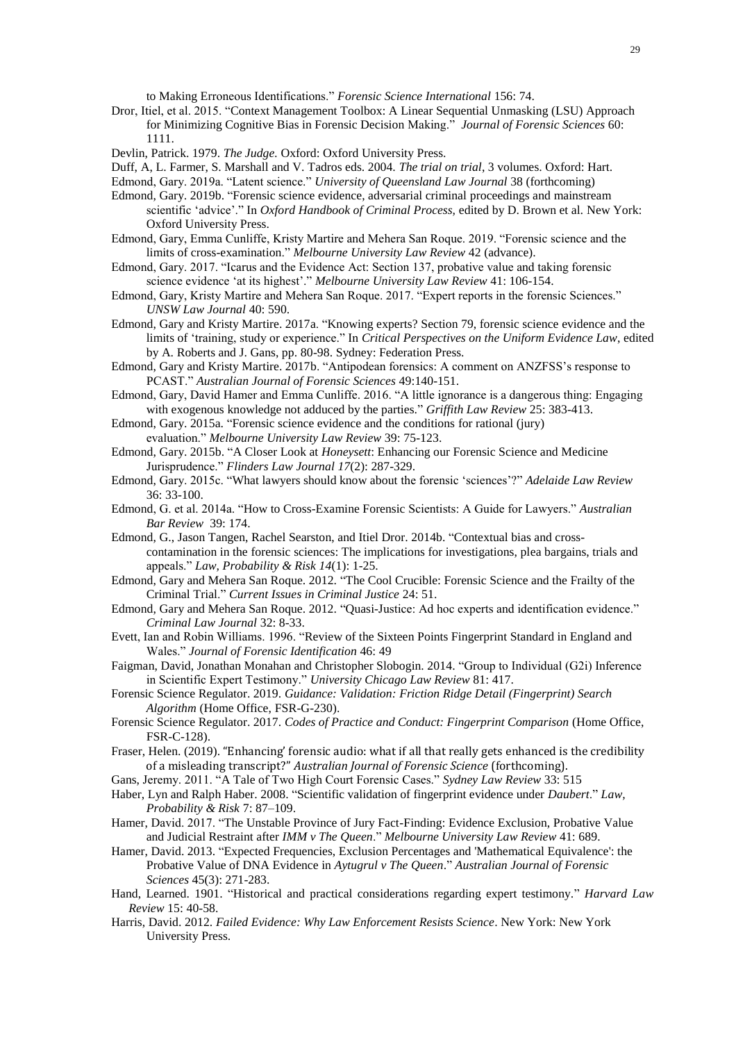to Making Erroneous Identifications." *Forensic Science International* 156: 74.

- Dror, Itiel, et al. 2015. "Context Management Toolbox: A Linear Sequential Unmasking (LSU) Approach for Minimizing Cognitive Bias in Forensic Decision Making." *Journal of Forensic Sciences* 60: 1111.
- Devlin, Patrick. 1979. *The Judge.* Oxford: Oxford University Press.
- Duff, A, L. Farmer, S. Marshall and V. Tadros eds. 2004. *The trial on trial*, 3 volumes. Oxford: Hart.
- Edmond, Gary. 2019a. "Latent science." *University of Queensland Law Journal* 38 (forthcoming)
- Edmond, Gary. 2019b. "Forensic science evidence, adversarial criminal proceedings and mainstream scientific 'advice'." In *Oxford Handbook of Criminal Process,* edited by D. Brown et al*.* New York: Oxford University Press.
- Edmond, Gary, Emma Cunliffe, Kristy Martire and Mehera San Roque. 2019. "Forensic science and the limits of cross-examination." *Melbourne University Law Review* 42 (advance).
- Edmond, Gary. 2017. "Icarus and the Evidence Act: Section 137, probative value and taking forensic science evidence 'at its highest'." *Melbourne University Law Review* 41: 106-154.
- Edmond, Gary, Kristy Martire and Mehera San Roque. 2017. "Expert reports in the forensic Sciences." *UNSW Law Journal* 40: 590.
- Edmond, Gary and Kristy Martire. 2017a. "Knowing experts? Section 79, forensic science evidence and the limits of 'training, study or experience." In *Critical Perspectives on the Uniform Evidence Law*, edited by A. Roberts and J. Gans, pp. 80-98. Sydney: Federation Press.
- Edmond, Gary and Kristy Martire. 2017b. "Antipodean forensics: A comment on ANZFSS's response to PCAST." *Australian Journal of Forensic Sciences* 49:140-151.
- Edmond, Gary, David Hamer and Emma Cunliffe. 2016. "A little ignorance is a dangerous thing: Engaging with exogenous knowledge not adduced by the parties." *Griffith Law Review* 25: 383-413.
- Edmond, Gary. 2015a. "Forensic science evidence and the conditions for rational (jury)

evaluation." *Melbourne University Law Review* 39: 75-123.

Edmond, Gary. 2015b. "A Closer Look at *Honeysett*: Enhancing our Forensic Science and Medicine Jurisprudence." *Flinders Law Journal 17*(2): 287-329.

- Edmond, Gary. 2015c. "What lawyers should know about the forensic 'sciences'?" *Adelaide Law Review*  36: 33-100.
- Edmond, G. et al. 2014a. "How to Cross-Examine Forensic Scientists: A Guide for Lawyers." *Australian Bar Review* 39: 174.
- Edmond, G., Jason Tangen, Rachel Searston, and Itiel Dror. 2014b. "Contextual bias and crosscontamination in the forensic sciences: The implications for investigations, plea bargains, trials and appeals." *Law, Probability & Risk 14*(1): 1-25.
- Edmond, Gary and Mehera San Roque. 2012. ["The Cool Crucible: Forensic Science and the Frailty of the](http://www.law.unsw.edu.au/sites/law.unsw.edu.au/files/docs/posts/cool_crucible.pdf)  [Criminal Trial.](http://www.law.unsw.edu.au/sites/law.unsw.edu.au/files/docs/posts/cool_crucible.pdf)" *Current Issues in Criminal Justice* 24: 51.
- Edmond, Gary and Mehera San Roque. 2012. "Quasi-Justice: Ad hoc experts and identification evidence." *Criminal Law Journal* 32: 8-33.
- Evett, Ian and Robin Williams. 1996. "Review of the Sixteen Points Fingerprint Standard in England and Wales." *Journal of Forensic Identification* 46: 49
- Faigman, David, Jonathan Monahan and Christopher Slobogin. 2014. "Group to Individual (G2i) Inference in Scientific Expert Testimony." *University Chicago Law Review* 81: 417.
- Forensic Science Regulator. 2019. *Guidance: Validation: Friction Ridge Detail (Fingerprint) Search Algorithm* (Home Office, FSR-G-230).
- Forensic Science Regulator. 2017. *Codes of Practice and Conduct: Fingerprint Comparison* (Home Office, FSR-C-128).
- Fraser, Helen. (2019). "Enhancing' forensic audio: what if all that really gets enhanced is the credibility of a misleading transcript?" *Australian Journal of Forensic Science* (forthcoming).
- Gans, Jeremy. 2011. "A Tale of Two High Court Forensic Cases." *Sydney Law Review* 33: 515
- Haber, Lyn and Ralph Haber. 2008. "Scientific validation of fingerprint evidence under *Daubert*." *Law, Probability & Risk* 7: 87–109.
- Hamer, David. 2017. "The Unstable Province of Jury Fact-Finding: Evidence Exclusion, Probative Value and Judicial Restraint after *IMM v The Queen*." *Melbourne University Law Review* 41: 689.
- Hamer, David. 2013. "Expected Frequencies, Exclusion Percentages and 'Mathematical Equivalence': the Probative Value of DNA Evidence in *Aytugrul v The Queen*." *Australian Journal of Forensic Sciences* 45(3): 271-283.
- Hand, Learned. 1901. "Historical and practical considerations regarding expert testimony." *Harvard Law Review* 15: 40-58.
- Harris, David. 2012. *Failed Evidence: Why Law Enforcement Resists Science*. New York: New York University Press.